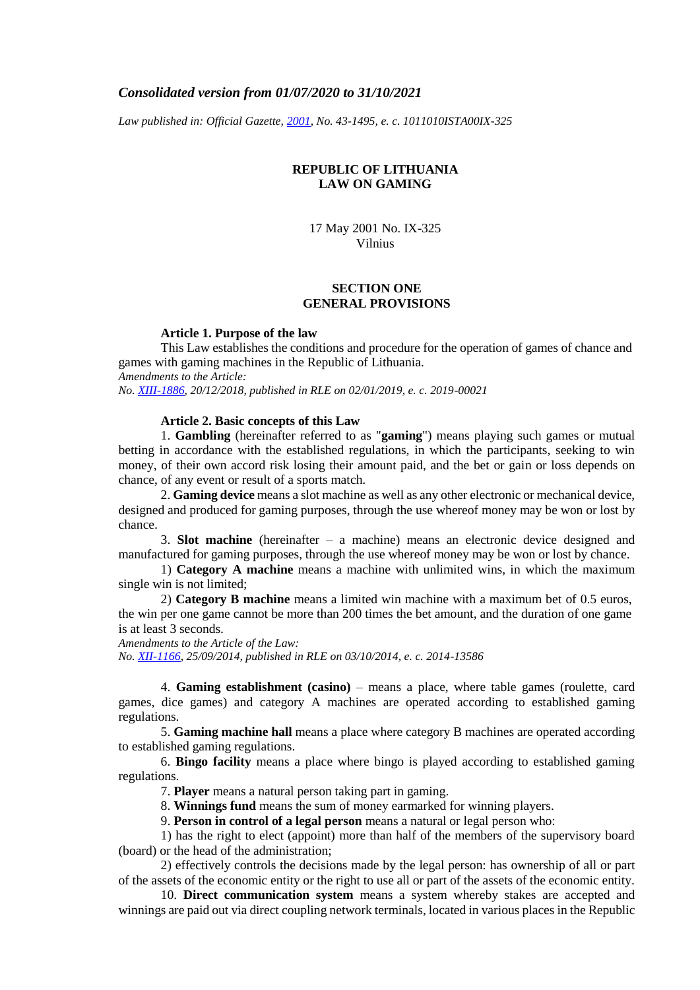# *Consolidated version from 01/07/2020 to 31/10/2021*

*Law published in: Official Gazette, [2001,](https://www.e-tar.lt/portal/legalAct.html?documentId=TAR.E5509883EBB4) No. 43-1495, e. c. 1011010ISTA00IX-325*

# **REPUBLIC OF LITHUANIA LAW ON GAMING**

17 May 2001 No. IX-325 Vilnius

# **SECTION ONE GENERAL PROVISIONS**

#### **Article 1. Purpose of the law**

This Law establishes the conditions and procedure for the operation of games of chance and games with gaming machines in the Republic of Lithuania.

*Amendments to the Article: No. [XIII-1886,](https://www.e-tar.lt/portal/legalAct.html?documentId=d91f35000e7e11e9a5eaf2cd290f1944) 20/12/2018, published in RLE on 02/01/2019, e. c. 2019-00021*

#### **Article 2. Basic concepts of this Law**

1. **Gambling** (hereinafter referred to as "**gaming**") means playing such games or mutual betting in accordance with the established regulations, in which the participants, seeking to win money, of their own accord risk losing their amount paid, and the bet or gain or loss depends on chance, of any event or result of a sports match.

2. **Gaming device** means a slot machine as well as any other electronic or mechanical device, designed and produced for gaming purposes, through the use whereof money may be won or lost by chance.

3. **Slot machine** (hereinafter – a machine) means an electronic device designed and manufactured for gaming purposes, through the use whereof money may be won or lost by chance.

1) **Category A machine** means a machine with unlimited wins, in which the maximum single win is not limited;

2) **Category B machine** means a limited win machine with a maximum bet of 0.5 euros, the win per one game cannot be more than 200 times the bet amount, and the duration of one game is at least 3 seconds.

*Amendments to the Article of the Law: No. [XII-1166,](https://www.e-tar.lt/portal/legalAct.html?documentId=ed32aea04ae711e4a8328599cac64d82) 25/09/2014, published in RLE on 03/10/2014, e. c. 2014-13586*

4. **Gaming establishment (casino)** – means a place, where table games (roulette, card games, dice games) and category A machines are operated according to established gaming regulations.

5. **Gaming machine hall** means a place where category B machines are operated according to established gaming regulations.

6. **Bingo facility** means a place where bingo is played according to established gaming regulations.

7. **Player** means a natural person taking part in gaming.

8. **Winnings fund** means the sum of money earmarked for winning players.

9. **Person in control of a legal person** means a natural or legal person who:

1) has the right to elect (appoint) more than half of the members of the supervisory board (board) or the head of the administration;

2) effectively controls the decisions made by the legal person: has ownership of all or part of the assets of the economic entity or the right to use all or part of the assets of the economic entity.

10. **Direct communication system** means a system whereby stakes are accepted and winnings are paid out via direct coupling network terminals, located in various places in the Republic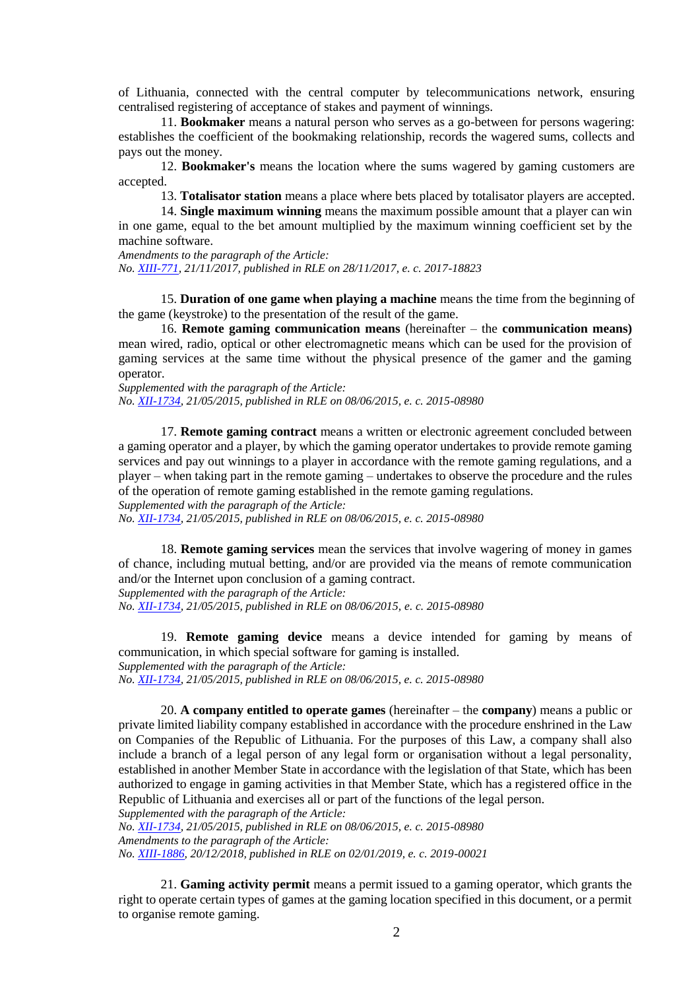of Lithuania, connected with the central computer by telecommunications network, ensuring centralised registering of acceptance of stakes and payment of winnings.

11. **Bookmaker** means a natural person who serves as a go-between for persons wagering: establishes the coefficient of the bookmaking relationship, records the wagered sums, collects and pays out the money.

12. **Bookmaker's** means the location where the sums wagered by gaming customers are accepted.

13. **Totalisator station** means a place where bets placed by totalisator players are accepted.

14. **Single maximum winning** means the maximum possible amount that a player can win in one game, equal to the bet amount multiplied by the maximum winning coefficient set by the machine software.

*Amendments to the paragraph of the Article: No. [XIII-771,](https://www.e-tar.lt/portal/legalAct.html?documentId=4f2c8620d41111e7910a89ac20768b0f) 21/11/2017, published in RLE on 28/11/2017, e. c. 2017-18823*

15. **Duration of one game when playing a machine** means the time from the beginning of the game (keystroke) to the presentation of the result of the game.

16. **Remote gaming communication means** (hereinafter – the **communication means)**  mean wired, radio, optical or other electromagnetic means which can be used for the provision of gaming services at the same time without the physical presence of the gamer and the gaming operator.

*Supplemented with the paragraph of the Article: No. [XII-1734,](https://www.e-tar.lt/portal/legalAct.html?documentId=0f7f08200da011e5920c94700bb1958e) 21/05/2015, published in RLE on 08/06/2015, e. c. 2015-08980*

17. **Remote gaming contract** means a written or electronic agreement concluded between a gaming operator and a player, by which the gaming operator undertakes to provide remote gaming services and pay out winnings to a player in accordance with the remote gaming regulations, and a player – when taking part in the remote gaming – undertakes to observe the procedure and the rules of the operation of remote gaming established in the remote gaming regulations.

*Supplemented with the paragraph of the Article:*

*No. [XII-1734,](https://www.e-tar.lt/portal/legalAct.html?documentId=0f7f08200da011e5920c94700bb1958e) 21/05/2015, published in RLE on 08/06/2015, e. c. 2015-08980*

18. **Remote gaming services** mean the services that involve wagering of money in games of chance, including mutual betting, and/or are provided via the means of remote communication and/or the Internet upon conclusion of a gaming contract. *Supplemented with the paragraph of the Article:*

*No. [XII-1734,](https://www.e-tar.lt/portal/legalAct.html?documentId=0f7f08200da011e5920c94700bb1958e) 21/05/2015, published in RLE on 08/06/2015, e. c. 2015-08980*

19. **Remote gaming device** means a device intended for gaming by means of communication, in which special software for gaming is installed.

*Supplemented with the paragraph of the Article:*

*No. [XII-1734,](https://www.e-tar.lt/portal/legalAct.html?documentId=0f7f08200da011e5920c94700bb1958e) 21/05/2015, published in RLE on 08/06/2015, e. c. 2015-08980*

20. **A company entitled to operate games** (hereinafter – the **company**) means a public or private limited liability company established in accordance with the procedure enshrined in the Law on Companies of the Republic of Lithuania. For the purposes of this Law, a company shall also include a branch of a legal person of any legal form or organisation without a legal personality, established in another Member State in accordance with the legislation of that State, which has been authorized to engage in gaming activities in that Member State, which has a registered office in the Republic of Lithuania and exercises all or part of the functions of the legal person.

*Supplemented with the paragraph of the Article: No. [XII-1734,](https://www.e-tar.lt/portal/legalAct.html?documentId=0f7f08200da011e5920c94700bb1958e) 21/05/2015, published in RLE on 08/06/2015, e. c. 2015-08980 Amendments to the paragraph of the Article:*

*No. [XIII-1886,](https://www.e-tar.lt/portal/legalAct.html?documentId=d91f35000e7e11e9a5eaf2cd290f1944) 20/12/2018, published in RLE on 02/01/2019, e. c. 2019-00021*

21. **Gaming activity permit** means a permit issued to a gaming operator, which grants the right to operate certain types of games at the gaming location specified in this document, or a permit to organise remote gaming.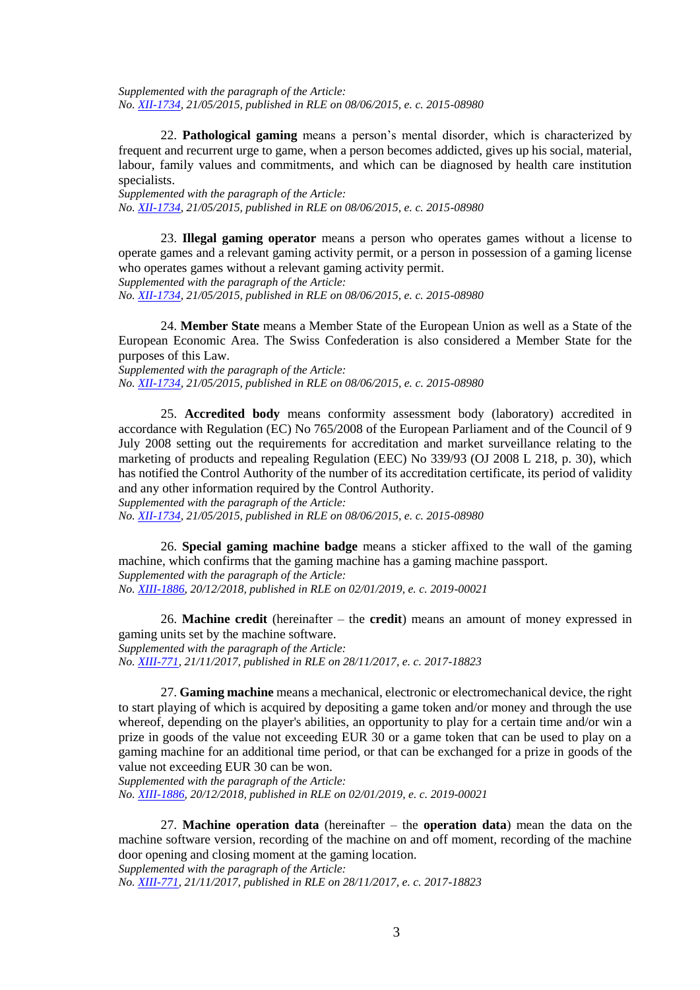*Supplemented with the paragraph of the Article: No. [XII-1734,](https://www.e-tar.lt/portal/legalAct.html?documentId=0f7f08200da011e5920c94700bb1958e) 21/05/2015, published in RLE on 08/06/2015, e. c. 2015-08980*

22. **Pathological gaming** means a person's mental disorder, which is characterized by frequent and recurrent urge to game, when a person becomes addicted, gives up his social, material, labour, family values and commitments, and which can be diagnosed by health care institution specialists.

*Supplemented with the paragraph of the Article: No. [XII-1734,](https://www.e-tar.lt/portal/legalAct.html?documentId=0f7f08200da011e5920c94700bb1958e) 21/05/2015, published in RLE on 08/06/2015, e. c. 2015-08980*

23. **Illegal gaming operator** means a person who operates games without a license to operate games and a relevant gaming activity permit, or a person in possession of a gaming license who operates games without a relevant gaming activity permit. *Supplemented with the paragraph of the Article:*

*No. [XII-1734,](https://www.e-tar.lt/portal/legalAct.html?documentId=0f7f08200da011e5920c94700bb1958e) 21/05/2015, published in RLE on 08/06/2015, e. c. 2015-08980*

24. **Member State** means a Member State of the European Union as well as a State of the European Economic Area. The Swiss Confederation is also considered a Member State for the purposes of this Law.

*Supplemented with the paragraph of the Article: No. [XII-1734,](https://www.e-tar.lt/portal/legalAct.html?documentId=0f7f08200da011e5920c94700bb1958e) 21/05/2015, published in RLE on 08/06/2015, e. c. 2015-08980*

25. **Accredited body** means conformity assessment body (laboratory) accredited in accordance with Regulation (EC) No 765/2008 of the European Parliament and of the Council of 9 July 2008 setting out the requirements for accreditation and market surveillance relating to the marketing of products and repealing Regulation (EEC) No 339/93 (OJ 2008 L 218, p. 30), which has notified the Control Authority of the number of its accreditation certificate, its period of validity and any other information required by the Control Authority.

*Supplemented with the paragraph of the Article:*

*No. [XII-1734,](https://www.e-tar.lt/portal/legalAct.html?documentId=0f7f08200da011e5920c94700bb1958e) 21/05/2015, published in RLE on 08/06/2015, e. c. 2015-08980*

26. **Special gaming machine badge** means a sticker affixed to the wall of the gaming machine, which confirms that the gaming machine has a gaming machine passport. *Supplemented with the paragraph of the Article: No. [XIII-1886,](https://www.e-tar.lt/portal/legalAct.html?documentId=d91f35000e7e11e9a5eaf2cd290f1944) 20/12/2018, published in RLE on 02/01/2019, e. c. 2019-00021*

26. **Machine credit** (hereinafter – the **credit**) means an amount of money expressed in gaming units set by the machine software. *Supplemented with the paragraph of the Article: No. [XIII-771,](https://www.e-tar.lt/portal/legalAct.html?documentId=4f2c8620d41111e7910a89ac20768b0f) 21/11/2017, published in RLE on 28/11/2017, e. c. 2017-18823*

27. **Gaming machine** means a mechanical, electronic or electromechanical device, the right to start playing of which is acquired by depositing a game token and/or money and through the use whereof, depending on the player's abilities, an opportunity to play for a certain time and/or win a prize in goods of the value not exceeding EUR 30 or a game token that can be used to play on a gaming machine for an additional time period, or that can be exchanged for a prize in goods of the value not exceeding EUR 30 can be won.

*Supplemented with the paragraph of the Article:*

*No. [XIII-1886,](https://www.e-tar.lt/portal/legalAct.html?documentId=d91f35000e7e11e9a5eaf2cd290f1944) 20/12/2018, published in RLE on 02/01/2019, e. c. 2019-00021*

27. **Machine operation data** (hereinafter – the **operation data**) mean the data on the machine software version, recording of the machine on and off moment, recording of the machine door opening and closing moment at the gaming location.

*Supplemented with the paragraph of the Article: No. [XIII-771,](https://www.e-tar.lt/portal/legalAct.html?documentId=4f2c8620d41111e7910a89ac20768b0f) 21/11/2017, published in RLE on 28/11/2017, e. c. 2017-18823*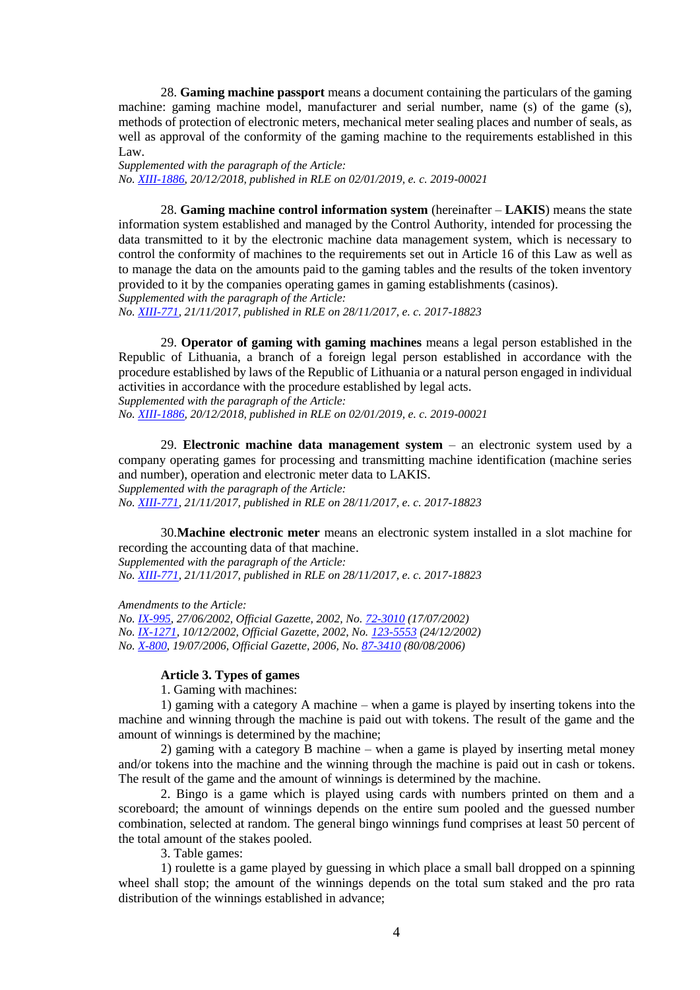28. **Gaming machine passport** means a document containing the particulars of the gaming machine: gaming machine model, manufacturer and serial number, name (s) of the game (s), methods of protection of electronic meters, mechanical meter sealing places and number of seals, as well as approval of the conformity of the gaming machine to the requirements established in this Law.

*Supplemented with the paragraph of the Article: No. [XIII-1886,](https://www.e-tar.lt/portal/legalAct.html?documentId=d91f35000e7e11e9a5eaf2cd290f1944) 20/12/2018, published in RLE on 02/01/2019, e. c. 2019-00021*

28. **Gaming machine control information system** (hereinafter – **LAKIS**) means the state information system established and managed by the Control Authority, intended for processing the data transmitted to it by the electronic machine data management system, which is necessary to control the conformity of machines to the requirements set out in Article 16 of this Law as well as to manage the data on the amounts paid to the gaming tables and the results of the token inventory provided to it by the companies operating games in gaming establishments (casinos).

*Supplemented with the paragraph of the Article:*

*No. [XIII-771,](https://www.e-tar.lt/portal/legalAct.html?documentId=4f2c8620d41111e7910a89ac20768b0f) 21/11/2017, published in RLE on 28/11/2017, e. c. 2017-18823*

29. **Operator of gaming with gaming machines** means a legal person established in the Republic of Lithuania, a branch of a foreign legal person established in accordance with the procedure established by laws of the Republic of Lithuania or a natural person engaged in individual activities in accordance with the procedure established by legal acts.

*Supplemented with the paragraph of the Article:*

*No. [XIII-1886,](https://www.e-tar.lt/portal/legalAct.html?documentId=d91f35000e7e11e9a5eaf2cd290f1944) 20/12/2018, published in RLE on 02/01/2019, e. c. 2019-00021*

29. **Electronic machine data management system** – an electronic system used by a company operating games for processing and transmitting machine identification (machine series and number), operation and electronic meter data to LAKIS. *Supplemented with the paragraph of the Article: No. [XIII-771,](https://www.e-tar.lt/portal/legalAct.html?documentId=4f2c8620d41111e7910a89ac20768b0f) 21/11/2017, published in RLE on 28/11/2017, e. c. 2017-18823*

30.**Machine electronic meter** means an electronic system installed in a slot machine for recording the accounting data of that machine.

*Supplemented with the paragraph of the Article: No. [XIII-771,](https://www.e-tar.lt/portal/legalAct.html?documentId=4f2c8620d41111e7910a89ac20768b0f) 21/11/2017, published in RLE on 28/11/2017, e. c. 2017-18823*

*Amendments to the Article:*

*No. [IX-995,](http://www3.lrs.lt/cgi-bin/preps2?a=171175&b=) 27/06/2002, Official Gazette, 2002, No. [72-3010](https://www.e-tar.lt/portal/legalAct.html?documentId=TAIS.171175) (17/07/2002) No. [IX-1271,](http://www3.lrs.lt/cgi-bin/preps2?a=197572&b=) 10/12/2002, Official Gazette, 2002, No. [123-5553](https://www.e-tar.lt/portal/legalAct.html?documentId=TAIS.197572) (24/12/2002) No. [X-800,](http://www3.lrs.lt/cgi-bin/preps2?a=281157&b=) 19/07/2006, Official Gazette, 2006, No[. 87-3410](https://www.e-tar.lt/portal/legalAct.html?documentId=TAIS.281157) (80/08/2006)*

## **Article 3. Types of games**

1. Gaming with machines:

1) gaming with a category A machine – when a game is played by inserting tokens into the machine and winning through the machine is paid out with tokens. The result of the game and the amount of winnings is determined by the machine;

2) gaming with a category B machine – when a game is played by inserting metal money and/or tokens into the machine and the winning through the machine is paid out in cash or tokens. The result of the game and the amount of winnings is determined by the machine.

2. Bingo is a game which is played using cards with numbers printed on them and a scoreboard; the amount of winnings depends on the entire sum pooled and the guessed number combination, selected at random. The general bingo winnings fund comprises at least 50 percent of the total amount of the stakes pooled.

3. Table games:

1) roulette is a game played by guessing in which place a small ball dropped on a spinning wheel shall stop; the amount of the winnings depends on the total sum staked and the pro rata distribution of the winnings established in advance;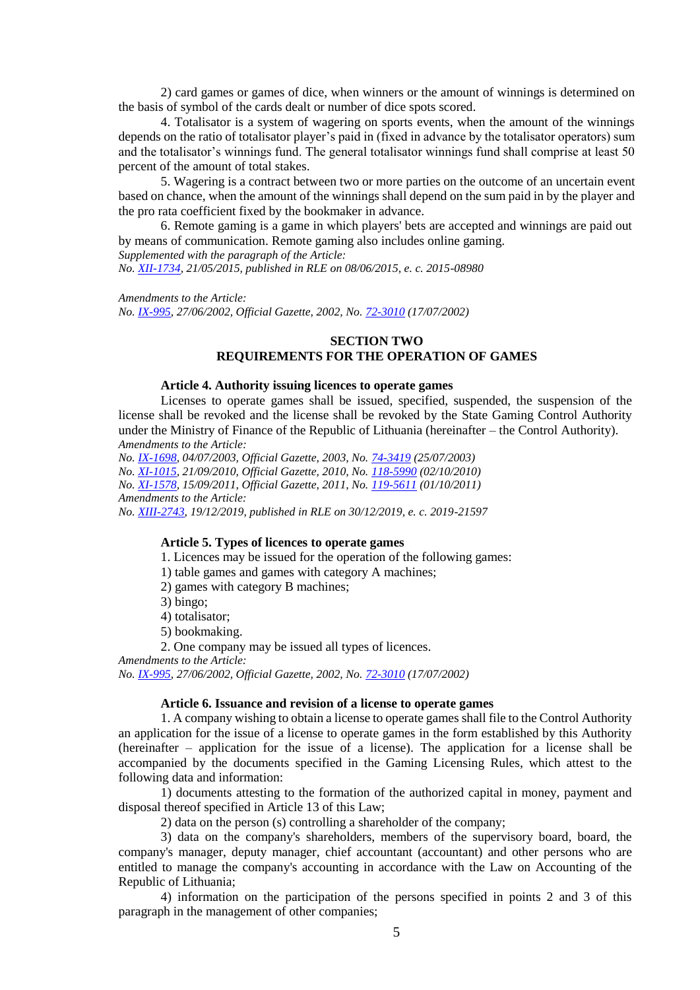2) card games or games of dice, when winners or the amount of winnings is determined on the basis of symbol of the cards dealt or number of dice spots scored.

4. Totalisator is a system of wagering on sports events, when the amount of the winnings depends on the ratio of totalisator player's paid in (fixed in advance by the totalisator operators) sum and the totalisator's winnings fund. The general totalisator winnings fund shall comprise at least 50 percent of the amount of total stakes.

5. Wagering is a contract between two or more parties on the outcome of an uncertain event based on chance, when the amount of the winnings shall depend on the sum paid in by the player and the pro rata coefficient fixed by the bookmaker in advance.

6. Remote gaming is a game in which players' bets are accepted and winnings are paid out by means of communication. Remote gaming also includes online gaming.

*Supplemented with the paragraph of the Article:*

*No. [XII-1734,](https://www.e-tar.lt/portal/legalAct.html?documentId=0f7f08200da011e5920c94700bb1958e) 21/05/2015, published in RLE on 08/06/2015, e. c. 2015-08980*

*Amendments to the Article:*

*No. [IX-995,](http://www3.lrs.lt/cgi-bin/preps2?a=171175&b=) 27/06/2002, Official Gazette, 2002, No. [72-3010](https://www.e-tar.lt/portal/legalAct.html?documentId=TAIS.171175) (17/07/2002)*

## **SECTION TWO REQUIREMENTS FOR THE OPERATION OF GAMES**

#### **Article 4. Authority issuing licences to operate games**

Licenses to operate games shall be issued, specified, suspended, the suspension of the license shall be revoked and the license shall be revoked by the State Gaming Control Authority under the Ministry of Finance of the Republic of Lithuania (hereinafter – the Control Authority). *Amendments to the Article:*

*No. [IX-1698,](http://www3.lrs.lt/cgi-bin/preps2?a=215811&b=) 04/07/2003, Official Gazette, 2003, No. [74-3419](https://www.e-tar.lt/portal/legalAct.html?documentId=TAIS.215811) (25/07/2003) No. [XI-1015,](http://www3.lrs.lt/cgi-bin/preps2?a=381398&b=) 21/09/2010, Official Gazette, 2010, No. [118-5990](https://www.e-tar.lt/portal/legalAct.html?documentId=TAIS.381398) (02/10/2010) No. [XI-1578,](http://www3.lrs.lt/cgi-bin/preps2?a=406675&b=) 15/09/2011, Official Gazette, 2011, No. [119-5611](https://www.e-tar.lt/portal/legalAct.html?documentId=TAIS.406675) (01/10/2011) Amendments to the Article:*

*No. [XIII-2743,](https://www.e-tar.lt/portal/legalAct.html?documentId=cb645e302af811eabe008ea93139d588) 19/12/2019, published in RLE on 30/12/2019, e. c. 2019-21597*

#### **Article 5. Types of licences to operate games**

1. Licences may be issued for the operation of the following games:

1) table games and games with category A machines;

2) games with category B machines;

- 3) bingo;
- 4) totalisator;

5) bookmaking.

2. One company may be issued all types of licences.

*Amendments to the Article:*

*No. [IX-995,](http://www3.lrs.lt/cgi-bin/preps2?a=171175&b=) 27/06/2002, Official Gazette, 2002, No. [72-3010](https://www.e-tar.lt/portal/legalAct.html?documentId=TAIS.171175) (17/07/2002)*

# **Article 6. Issuance and revision of a license to operate games**

1. A company wishing to obtain a license to operate games shall file to the Control Authority an application for the issue of a license to operate games in the form established by this Authority (hereinafter – application for the issue of a license). The application for a license shall be accompanied by the documents specified in the Gaming Licensing Rules, which attest to the following data and information:

1) documents attesting to the formation of the authorized capital in money, payment and disposal thereof specified in Article 13 of this Law;

2) data on the person (s) controlling a shareholder of the company;

3) data on the company's shareholders, members of the supervisory board, board, the company's manager, deputy manager, chief accountant (accountant) and other persons who are entitled to manage the company's accounting in accordance with the Law on Accounting of the Republic of Lithuania;

4) information on the participation of the persons specified in points 2 and 3 of this paragraph in the management of other companies;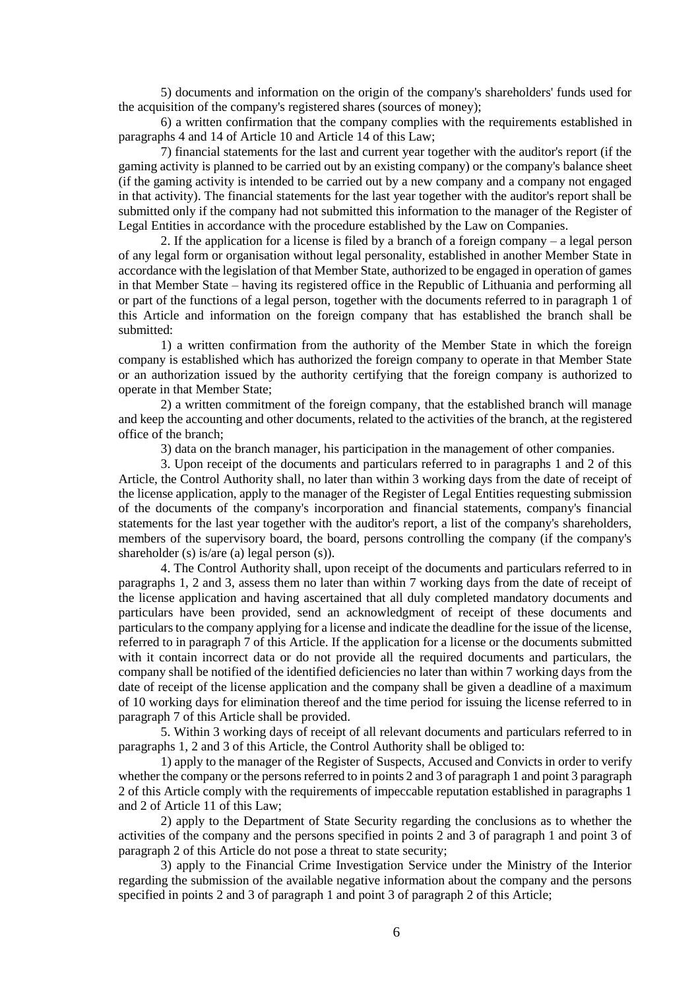5) documents and information on the origin of the company's shareholders' funds used for the acquisition of the company's registered shares (sources of money);

6) a written confirmation that the company complies with the requirements established in paragraphs 4 and 14 of Article 10 and Article 14 of this Law;

7) financial statements for the last and current year together with the auditor's report (if the gaming activity is planned to be carried out by an existing company) or the company's balance sheet (if the gaming activity is intended to be carried out by a new company and a company not engaged in that activity). The financial statements for the last year together with the auditor's report shall be submitted only if the company had not submitted this information to the manager of the Register of Legal Entities in accordance with the procedure established by the Law on Companies.

2. If the application for a license is filed by a branch of a foreign company – a legal person of any legal form or organisation without legal personality, established in another Member State in accordance with the legislation of that Member State, authorized to be engaged in operation of games in that Member State – having its registered office in the Republic of Lithuania and performing all or part of the functions of a legal person, together with the documents referred to in paragraph 1 of this Article and information on the foreign company that has established the branch shall be submitted:

1) a written confirmation from the authority of the Member State in which the foreign company is established which has authorized the foreign company to operate in that Member State or an authorization issued by the authority certifying that the foreign company is authorized to operate in that Member State;

2) a written commitment of the foreign company, that the established branch will manage and keep the accounting and other documents, related to the activities of the branch, at the registered office of the branch;

3) data on the branch manager, his participation in the management of other companies.

3. Upon receipt of the documents and particulars referred to in paragraphs 1 and 2 of this Article, the Control Authority shall, no later than within 3 working days from the date of receipt of the license application, apply to the manager of the Register of Legal Entities requesting submission of the documents of the company's incorporation and financial statements, company's financial statements for the last year together with the auditor's report, a list of the company's shareholders, members of the supervisory board, the board, persons controlling the company (if the company's shareholder (s) is/are (a) legal person (s)).

4. The Control Authority shall, upon receipt of the documents and particulars referred to in paragraphs 1, 2 and 3, assess them no later than within 7 working days from the date of receipt of the license application and having ascertained that all duly completed mandatory documents and particulars have been provided, send an acknowledgment of receipt of these documents and particulars to the company applying for a license and indicate the deadline for the issue of the license, referred to in paragraph 7 of this Article. If the application for a license or the documents submitted with it contain incorrect data or do not provide all the required documents and particulars, the company shall be notified of the identified deficiencies no later than within 7 working days from the date of receipt of the license application and the company shall be given a deadline of a maximum of 10 working days for elimination thereof and the time period for issuing the license referred to in paragraph 7 of this Article shall be provided.

5. Within 3 working days of receipt of all relevant documents and particulars referred to in paragraphs 1, 2 and 3 of this Article, the Control Authority shall be obliged to:

1) apply to the manager of the Register of Suspects, Accused and Convicts in order to verify whether the company or the persons referred to in points 2 and 3 of paragraph 1 and point 3 paragraph 2 of this Article comply with the requirements of impeccable reputation established in paragraphs 1 and 2 of Article 11 of this Law;

2) apply to the Department of State Security regarding the conclusions as to whether the activities of the company and the persons specified in points 2 and 3 of paragraph 1 and point 3 of paragraph 2 of this Article do not pose a threat to state security;

3) apply to the Financial Crime Investigation Service under the Ministry of the Interior regarding the submission of the available negative information about the company and the persons specified in points 2 and 3 of paragraph 1 and point 3 of paragraph 2 of this Article;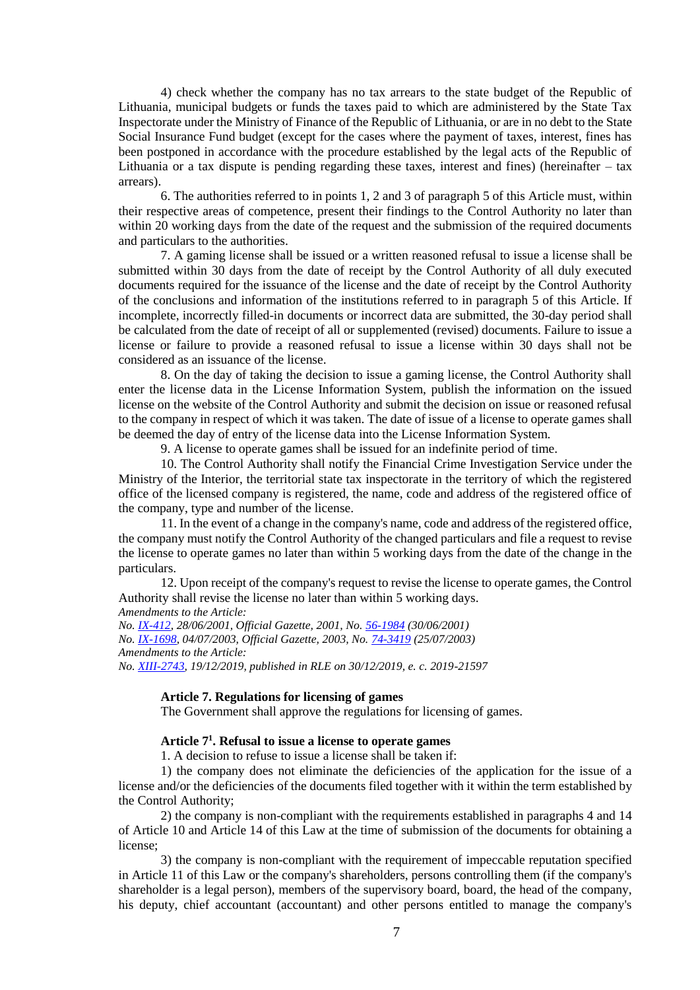4) check whether the company has no tax arrears to the state budget of the Republic of Lithuania, municipal budgets or funds the taxes paid to which are administered by the State Tax Inspectorate under the Ministry of Finance of the Republic of Lithuania, or are in no debt to the State Social Insurance Fund budget (except for the cases where the payment of taxes, interest, fines has been postponed in accordance with the procedure established by the legal acts of the Republic of Lithuania or a tax dispute is pending regarding these taxes, interest and fines) (hereinafter  $-$  tax arrears).

6. The authorities referred to in points 1, 2 and 3 of paragraph 5 of this Article must, within their respective areas of competence, present their findings to the Control Authority no later than within 20 working days from the date of the request and the submission of the required documents and particulars to the authorities.

7. A gaming license shall be issued or a written reasoned refusal to issue a license shall be submitted within 30 days from the date of receipt by the Control Authority of all duly executed documents required for the issuance of the license and the date of receipt by the Control Authority of the conclusions and information of the institutions referred to in paragraph 5 of this Article. If incomplete, incorrectly filled-in documents or incorrect data are submitted, the 30-day period shall be calculated from the date of receipt of all or supplemented (revised) documents. Failure to issue a license or failure to provide a reasoned refusal to issue a license within 30 days shall not be considered as an issuance of the license.

8. On the day of taking the decision to issue a gaming license, the Control Authority shall enter the license data in the License Information System, publish the information on the issued license on the website of the Control Authority and submit the decision on issue or reasoned refusal to the company in respect of which it was taken. The date of issue of a license to operate games shall be deemed the day of entry of the license data into the License Information System.

9. A license to operate games shall be issued for an indefinite period of time.

10. The Control Authority shall notify the Financial Crime Investigation Service under the Ministry of the Interior, the territorial state tax inspectorate in the territory of which the registered office of the licensed company is registered, the name, code and address of the registered office of the company, type and number of the license.

11. In the event of a change in the company's name, code and address of the registered office, the company must notify the Control Authority of the changed particulars and file a request to revise the license to operate games no later than within 5 working days from the date of the change in the particulars.

12. Upon receipt of the company's request to revise the license to operate games, the Control Authority shall revise the license no later than within 5 working days.

*Amendments to the Article:*

*No. [IX-412,](http://www3.lrs.lt/cgi-bin/preps2?a=140229&b=) 28/06/2001, Official Gazette, 2001, No. [56-1984](https://www.e-tar.lt/portal/legalAct.html?documentId=TAIS.140229) (30/06/2001) No. [IX-1698,](http://www3.lrs.lt/cgi-bin/preps2?a=215811&b=) 04/07/2003, Official Gazette, 2003, No. [74-3419](https://www.e-tar.lt/portal/legalAct.html?documentId=TAIS.215811) (25/07/2003) Amendments to the Article: No. [XIII-2743,](https://www.e-tar.lt/portal/legalAct.html?documentId=cb645e302af811eabe008ea93139d588) 19/12/2019, published in RLE on 30/12/2019, e. c. 2019-21597*

#### **Article 7. Regulations for licensing of games**

The Government shall approve the regulations for licensing of games.

# **Article 7<sup>1</sup> . Refusal to issue a license to operate games**

1. A decision to refuse to issue a license shall be taken if:

1) the company does not eliminate the deficiencies of the application for the issue of a license and/or the deficiencies of the documents filed together with it within the term established by the Control Authority;

2) the company is non-compliant with the requirements established in paragraphs 4 and 14 of Article 10 and Article 14 of this Law at the time of submission of the documents for obtaining a license;

3) the company is non-compliant with the requirement of impeccable reputation specified in Article 11 of this Law or the company's shareholders, persons controlling them (if the company's shareholder is a legal person), members of the supervisory board, board, the head of the company, his deputy, chief accountant (accountant) and other persons entitled to manage the company's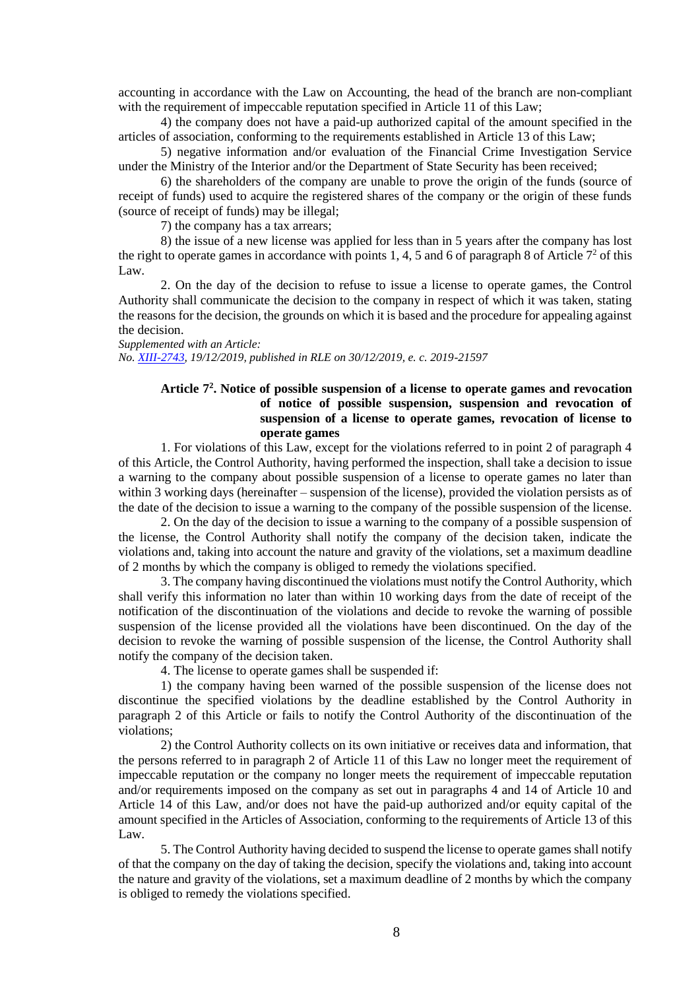accounting in accordance with the Law on Accounting, the head of the branch are non-compliant with the requirement of impeccable reputation specified in Article 11 of this Law;

4) the company does not have a paid-up authorized capital of the amount specified in the articles of association, conforming to the requirements established in Article 13 of this Law;

5) negative information and/or evaluation of the Financial Crime Investigation Service under the Ministry of the Interior and/or the Department of State Security has been received;

6) the shareholders of the company are unable to prove the origin of the funds (source of receipt of funds) used to acquire the registered shares of the company or the origin of these funds (source of receipt of funds) may be illegal;

7) the company has a tax arrears;

8) the issue of a new license was applied for less than in 5 years after the company has lost the right to operate games in accordance with points 1, 4, 5 and 6 of paragraph 8 of Article  $7<sup>2</sup>$  of this Law.

2. On the day of the decision to refuse to issue a license to operate games, the Control Authority shall communicate the decision to the company in respect of which it was taken, stating the reasons for the decision, the grounds on which it is based and the procedure for appealing against the decision.

*Supplemented with an Article: No. [XIII-2743,](https://www.e-tar.lt/portal/legalAct.html?documentId=cb645e302af811eabe008ea93139d588) 19/12/2019, published in RLE on 30/12/2019, e. c. 2019-21597*

## **Article 7<sup>2</sup> . Notice of possible suspension of a license to operate games and revocation of notice of possible suspension, suspension and revocation of suspension of a license to operate games, revocation of license to operate games**

1. For violations of this Law, except for the violations referred to in point 2 of paragraph 4 of this Article, the Control Authority, having performed the inspection, shall take a decision to issue a warning to the company about possible suspension of a license to operate games no later than within 3 working days (hereinafter – suspension of the license), provided the violation persists as of the date of the decision to issue a warning to the company of the possible suspension of the license.

2. On the day of the decision to issue a warning to the company of a possible suspension of the license, the Control Authority shall notify the company of the decision taken, indicate the violations and, taking into account the nature and gravity of the violations, set a maximum deadline of 2 months by which the company is obliged to remedy the violations specified.

3. The company having discontinued the violations must notify the Control Authority, which shall verify this information no later than within 10 working days from the date of receipt of the notification of the discontinuation of the violations and decide to revoke the warning of possible suspension of the license provided all the violations have been discontinued. On the day of the decision to revoke the warning of possible suspension of the license, the Control Authority shall notify the company of the decision taken.

4. The license to operate games shall be suspended if:

1) the company having been warned of the possible suspension of the license does not discontinue the specified violations by the deadline established by the Control Authority in paragraph 2 of this Article or fails to notify the Control Authority of the discontinuation of the violations;

2) the Control Authority collects on its own initiative or receives data and information, that the persons referred to in paragraph 2 of Article 11 of this Law no longer meet the requirement of impeccable reputation or the company no longer meets the requirement of impeccable reputation and/or requirements imposed on the company as set out in paragraphs 4 and 14 of Article 10 and Article 14 of this Law, and/or does not have the paid-up authorized and/or equity capital of the amount specified in the Articles of Association, conforming to the requirements of Article 13 of this Law.

5. The Control Authority having decided to suspend the license to operate games shall notify of that the company on the day of taking the decision, specify the violations and, taking into account the nature and gravity of the violations, set a maximum deadline of 2 months by which the company is obliged to remedy the violations specified.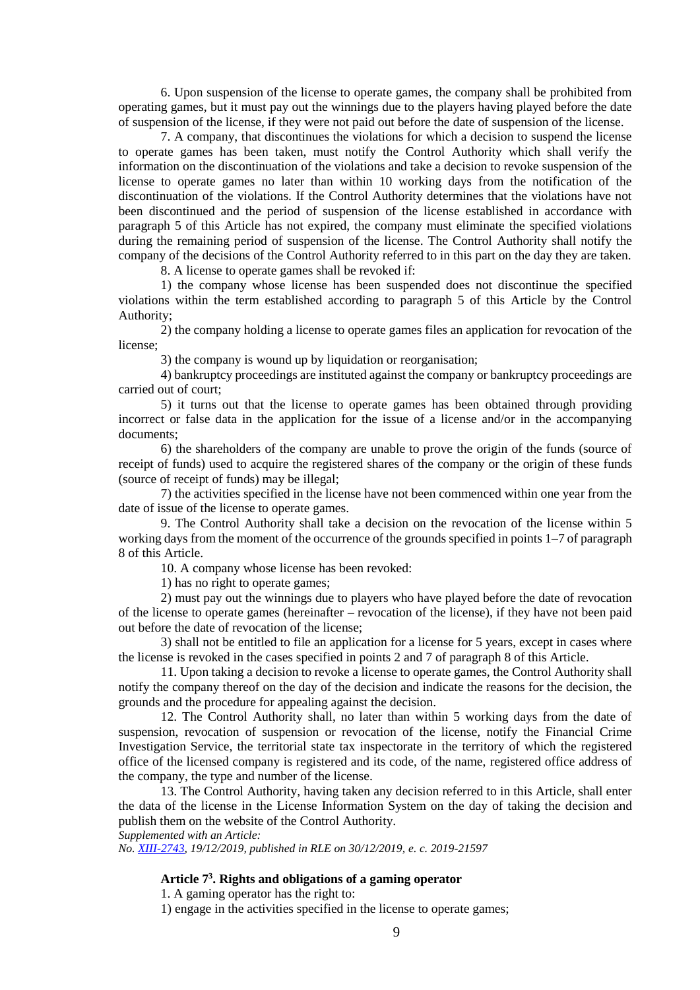6. Upon suspension of the license to operate games, the company shall be prohibited from operating games, but it must pay out the winnings due to the players having played before the date of suspension of the license, if they were not paid out before the date of suspension of the license.

7. A company, that discontinues the violations for which a decision to suspend the license to operate games has been taken, must notify the Control Authority which shall verify the information on the discontinuation of the violations and take a decision to revoke suspension of the license to operate games no later than within 10 working days from the notification of the discontinuation of the violations. If the Control Authority determines that the violations have not been discontinued and the period of suspension of the license established in accordance with paragraph 5 of this Article has not expired, the company must eliminate the specified violations during the remaining period of suspension of the license. The Control Authority shall notify the company of the decisions of the Control Authority referred to in this part on the day they are taken.

8. A license to operate games shall be revoked if:

1) the company whose license has been suspended does not discontinue the specified violations within the term established according to paragraph 5 of this Article by the Control Authority;

2) the company holding a license to operate games files an application for revocation of the license;

3) the company is wound up by liquidation or reorganisation;

4) bankruptcy proceedings are instituted against the company or bankruptcy proceedings are carried out of court;

5) it turns out that the license to operate games has been obtained through providing incorrect or false data in the application for the issue of a license and/or in the accompanying documents;

6) the shareholders of the company are unable to prove the origin of the funds (source of receipt of funds) used to acquire the registered shares of the company or the origin of these funds (source of receipt of funds) may be illegal;

7) the activities specified in the license have not been commenced within one year from the date of issue of the license to operate games.

9. The Control Authority shall take a decision on the revocation of the license within 5 working days from the moment of the occurrence of the grounds specified in points 1–7 of paragraph 8 of this Article.

10. A company whose license has been revoked:

1) has no right to operate games;

2) must pay out the winnings due to players who have played before the date of revocation of the license to operate games (hereinafter – revocation of the license), if they have not been paid out before the date of revocation of the license;

3) shall not be entitled to file an application for a license for 5 years, except in cases where the license is revoked in the cases specified in points 2 and 7 of paragraph 8 of this Article.

11. Upon taking a decision to revoke a license to operate games, the Control Authority shall notify the company thereof on the day of the decision and indicate the reasons for the decision, the grounds and the procedure for appealing against the decision.

12. The Control Authority shall, no later than within 5 working days from the date of suspension, revocation of suspension or revocation of the license, notify the Financial Crime Investigation Service, the territorial state tax inspectorate in the territory of which the registered office of the licensed company is registered and its code, of the name, registered office address of the company, the type and number of the license.

13. The Control Authority, having taken any decision referred to in this Article, shall enter the data of the license in the License Information System on the day of taking the decision and publish them on the website of the Control Authority.

*Supplemented with an Article:*

*No. [XIII-2743,](https://www.e-tar.lt/portal/legalAct.html?documentId=cb645e302af811eabe008ea93139d588) 19/12/2019, published in RLE on 30/12/2019, e. c. 2019-21597*

## **Article 7<sup>3</sup> . Rights and obligations of a gaming operator**

1. A gaming operator has the right to:

1) engage in the activities specified in the license to operate games;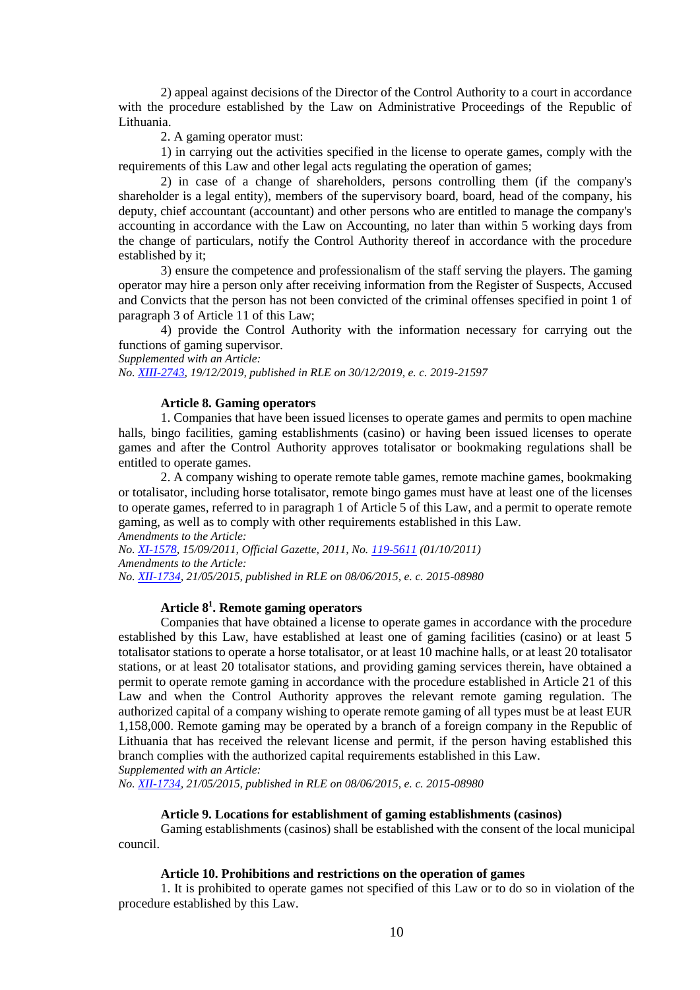2) appeal against decisions of the Director of the Control Authority to a court in accordance with the procedure established by the Law on Administrative Proceedings of the Republic of Lithuania.

2. A gaming operator must:

1) in carrying out the activities specified in the license to operate games, comply with the requirements of this Law and other legal acts regulating the operation of games;

2) in case of a change of shareholders, persons controlling them (if the company's shareholder is a legal entity), members of the supervisory board, board, head of the company, his deputy, chief accountant (accountant) and other persons who are entitled to manage the company's accounting in accordance with the Law on Accounting, no later than within 5 working days from the change of particulars, notify the Control Authority thereof in accordance with the procedure established by it;

3) ensure the competence and professionalism of the staff serving the players. The gaming operator may hire a person only after receiving information from the Register of Suspects, Accused and Convicts that the person has not been convicted of the criminal offenses specified in point 1 of paragraph 3 of Article 11 of this Law;

4) provide the Control Authority with the information necessary for carrying out the functions of gaming supervisor.

*Supplemented with an Article:*

*No. [XIII-2743,](https://www.e-tar.lt/portal/legalAct.html?documentId=cb645e302af811eabe008ea93139d588) 19/12/2019, published in RLE on 30/12/2019, e. c. 2019-21597*

#### **Article 8. Gaming operators**

1. Companies that have been issued licenses to operate games and permits to open machine halls, bingo facilities, gaming establishments (casino) or having been issued licenses to operate games and after the Control Authority approves totalisator or bookmaking regulations shall be entitled to operate games.

2. A company wishing to operate remote table games, remote machine games, bookmaking or totalisator, including horse totalisator, remote bingo games must have at least one of the licenses to operate games, referred to in paragraph 1 of Article 5 of this Law, and a permit to operate remote gaming, as well as to comply with other requirements established in this Law.

*Amendments to the Article:*

*No. [XI-1578,](http://www3.lrs.lt/cgi-bin/preps2?a=406675&b=) 15/09/2011, Official Gazette, 2011, No. [119-5611](https://www.e-tar.lt/portal/legalAct.html?documentId=TAIS.406675) (01/10/2011) Amendments to the Article:*

*No. [XII-1734,](https://www.e-tar.lt/portal/legalAct.html?documentId=0f7f08200da011e5920c94700bb1958e) 21/05/2015, published in RLE on 08/06/2015, e. c. 2015-08980*

## **Article 8<sup>1</sup> . Remote gaming operators**

Companies that have obtained a license to operate games in accordance with the procedure established by this Law, have established at least one of gaming facilities (casino) or at least 5 totalisator stations to operate a horse totalisator, or at least 10 machine halls, or at least 20 totalisator stations, or at least 20 totalisator stations, and providing gaming services therein, have obtained a permit to operate remote gaming in accordance with the procedure established in Article 21 of this Law and when the Control Authority approves the relevant remote gaming regulation. The authorized capital of a company wishing to operate remote gaming of all types must be at least EUR 1,158,000. Remote gaming may be operated by a branch of a foreign company in the Republic of Lithuania that has received the relevant license and permit, if the person having established this branch complies with the authorized capital requirements established in this Law.

*Supplemented with an Article:*

*No. [XII-1734,](https://www.e-tar.lt/portal/legalAct.html?documentId=0f7f08200da011e5920c94700bb1958e) 21/05/2015, published in RLE on 08/06/2015, e. c. 2015-08980*

#### **Article 9. Locations for establishment of gaming establishments (casinos)**

Gaming establishments (casinos) shall be established with the consent of the local municipal council.

#### **Article 10. Prohibitions and restrictions on the operation of games**

1. It is prohibited to operate games not specified of this Law or to do so in violation of the procedure established by this Law.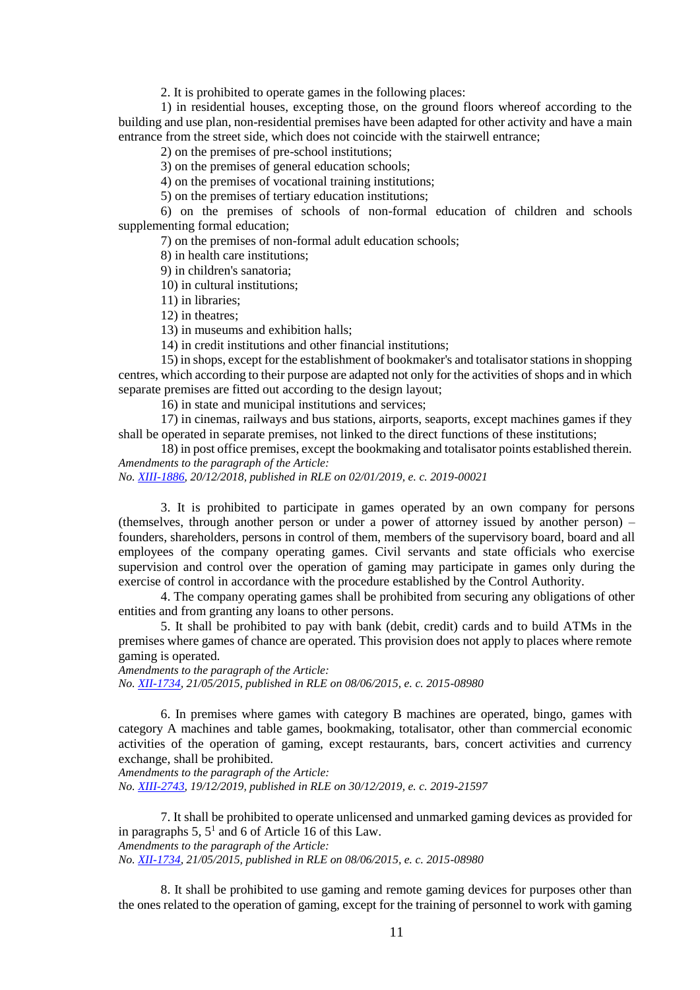2. It is prohibited to operate games in the following places:

1) in residential houses, excepting those, on the ground floors whereof according to the building and use plan, non-residential premises have been adapted for other activity and have a main entrance from the street side, which does not coincide with the stairwell entrance;

2) on the premises of pre-school institutions;

3) on the premises of general education schools;

4) on the premises of vocational training institutions;

5) on the premises of tertiary education institutions;

6) on the premises of schools of non-formal education of children and schools supplementing formal education;

7) on the premises of non-formal adult education schools;

8) in health care institutions;

9) in children's sanatoria;

10) in cultural institutions;

11) in libraries;

12) in theatres;

13) in museums and exhibition halls;

14) in credit institutions and other financial institutions;

15) in shops, except for the establishment of bookmaker's and totalisator stations in shopping centres, which according to their purpose are adapted not only for the activities of shops and in which separate premises are fitted out according to the design layout;

16) in state and municipal institutions and services;

17) in cinemas, railways and bus stations, airports, seaports, except machines games if they shall be operated in separate premises, not linked to the direct functions of these institutions;

18) in post office premises, except the bookmaking and totalisator points established therein. *Amendments to the paragraph of the Article:*

*No. [XIII-1886,](https://www.e-tar.lt/portal/legalAct.html?documentId=d91f35000e7e11e9a5eaf2cd290f1944) 20/12/2018, published in RLE on 02/01/2019, e. c. 2019-00021*

3. It is prohibited to participate in games operated by an own company for persons (themselves, through another person or under a power of attorney issued by another person) – founders, shareholders, persons in control of them, members of the supervisory board, board and all employees of the company operating games. Civil servants and state officials who exercise supervision and control over the operation of gaming may participate in games only during the exercise of control in accordance with the procedure established by the Control Authority.

4. The company operating games shall be prohibited from securing any obligations of other entities and from granting any loans to other persons.

5. It shall be prohibited to pay with bank (debit, credit) cards and to build ATMs in the premises where games of chance are operated. This provision does not apply to places where remote gaming is operated.

*Amendments to the paragraph of the Article:*

*No. [XII-1734,](https://www.e-tar.lt/portal/legalAct.html?documentId=0f7f08200da011e5920c94700bb1958e) 21/05/2015, published in RLE on 08/06/2015, e. c. 2015-08980*

6. In premises where games with category B machines are operated, bingo, games with category A machines and table games, bookmaking, totalisator, other than commercial economic activities of the operation of gaming, except restaurants, bars, concert activities and currency exchange, shall be prohibited.

*Amendments to the paragraph of the Article:*

*No. [XIII-2743,](https://www.e-tar.lt/portal/legalAct.html?documentId=cb645e302af811eabe008ea93139d588) 19/12/2019, published in RLE on 30/12/2019, e. c. 2019-21597*

7. It shall be prohibited to operate unlicensed and unmarked gaming devices as provided for in paragraphs  $5, 5<sup>1</sup>$  and 6 of Article 16 of this Law.

*Amendments to the paragraph of the Article:*

*No. [XII-1734,](https://www.e-tar.lt/portal/legalAct.html?documentId=0f7f08200da011e5920c94700bb1958e) 21/05/2015, published in RLE on 08/06/2015, e. c. 2015-08980*

8. It shall be prohibited to use gaming and remote gaming devices for purposes other than the ones related to the operation of gaming, except for the training of personnel to work with gaming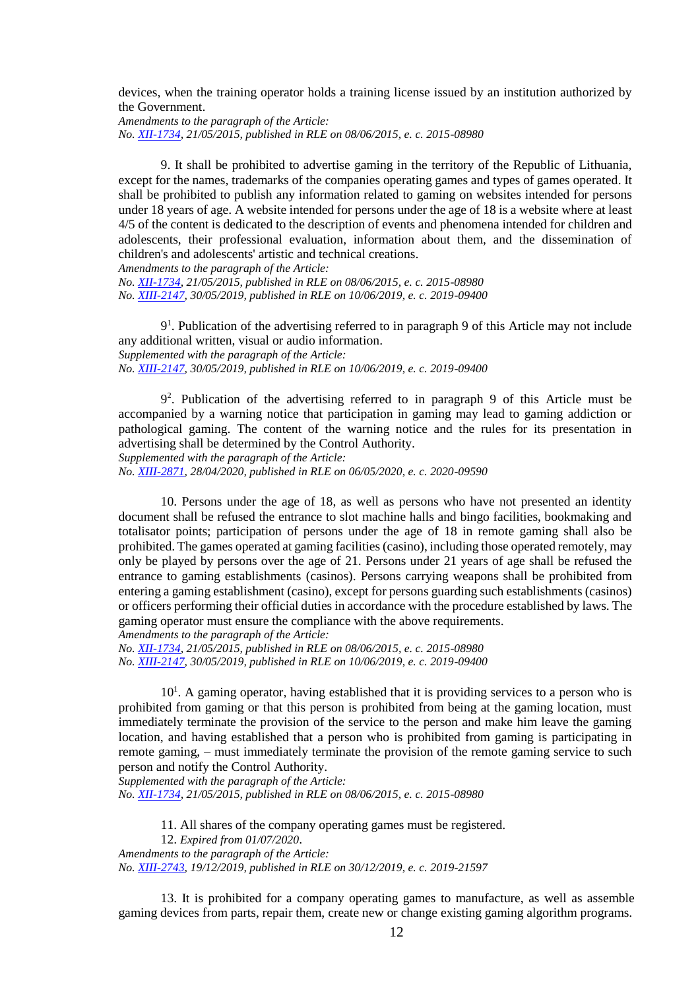devices, when the training operator holds a training license issued by an institution authorized by the Government.

*Amendments to the paragraph of the Article: No. [XII-1734,](https://www.e-tar.lt/portal/legalAct.html?documentId=0f7f08200da011e5920c94700bb1958e) 21/05/2015, published in RLE on 08/06/2015, e. c. 2015-08980*

9. It shall be prohibited to advertise gaming in the territory of the Republic of Lithuania, except for the names, trademarks of the companies operating games and types of games operated. It shall be prohibited to publish any information related to gaming on websites intended for persons under 18 years of age. A website intended for persons under the age of 18 is a website where at least 4/5 of the content is dedicated to the description of events and phenomena intended for children and adolescents, their professional evaluation, information about them, and the dissemination of children's and adolescents' artistic and technical creations.

*Amendments to the paragraph of the Article: No. [XII-1734,](https://www.e-tar.lt/portal/legalAct.html?documentId=0f7f08200da011e5920c94700bb1958e) 21/05/2015, published in RLE on 08/06/2015, e. c. 2015-08980 No. [XIII-2147,](https://www.e-tar.lt/portal/legalAct.html?documentId=796b4e508b7911e9ae2e9d61b1f977b3) 30/05/2019, published in RLE on 10/06/2019, e. c. 2019-09400*

9 1 . Publication of the advertising referred to in paragraph 9 of this Article may not include any additional written, visual or audio information. *Supplemented with the paragraph of the Article: No. [XIII-2147,](https://www.e-tar.lt/portal/legalAct.html?documentId=796b4e508b7911e9ae2e9d61b1f977b3) 30/05/2019, published in RLE on 10/06/2019, e. c. 2019-09400*

9 2 . Publication of the advertising referred to in paragraph 9 of this Article must be accompanied by a warning notice that participation in gaming may lead to gaming addiction or pathological gaming. The content of the warning notice and the rules for its presentation in advertising shall be determined by the Control Authority.

*Supplemented with the paragraph of the Article: No. [XIII-2871,](https://www.e-tar.lt/portal/legalAct.html?documentId=11ada1e08f5711ea9515f752ff221ec9) 28/04/2020, published in RLE on 06/05/2020, e. c. 2020-09590*

10. Persons under the age of 18, as well as persons who have not presented an identity document shall be refused the entrance to slot machine halls and bingo facilities, bookmaking and totalisator points; participation of persons under the age of 18 in remote gaming shall also be prohibited. The games operated at gaming facilities (casino), including those operated remotely, may only be played by persons over the age of 21. Persons under 21 years of age shall be refused the entrance to gaming establishments (casinos). Persons carrying weapons shall be prohibited from entering a gaming establishment (casino), except for persons guarding such establishments (casinos) or officers performing their official duties in accordance with the procedure established by laws. The gaming operator must ensure the compliance with the above requirements. *Amendments to the paragraph of the Article:*

*No. [XII-1734,](https://www.e-tar.lt/portal/legalAct.html?documentId=0f7f08200da011e5920c94700bb1958e) 21/05/2015, published in RLE on 08/06/2015, e. c. 2015-08980 No. [XIII-2147,](https://www.e-tar.lt/portal/legalAct.html?documentId=796b4e508b7911e9ae2e9d61b1f977b3) 30/05/2019, published in RLE on 10/06/2019, e. c. 2019-09400*

10<sup>1</sup>. A gaming operator, having established that it is providing services to a person who is prohibited from gaming or that this person is prohibited from being at the gaming location, must immediately terminate the provision of the service to the person and make him leave the gaming location, and having established that a person who is prohibited from gaming is participating in remote gaming, – must immediately terminate the provision of the remote gaming service to such person and notify the Control Authority.

*Supplemented with the paragraph of the Article:*

*No. [XII-1734,](https://www.e-tar.lt/portal/legalAct.html?documentId=0f7f08200da011e5920c94700bb1958e) 21/05/2015, published in RLE on 08/06/2015, e. c. 2015-08980*

11. All shares of the company operating games must be registered.

12. *Expired from 01/07/2020*.

*Amendments to the paragraph of the Article:*

*No. [XIII-2743,](https://www.e-tar.lt/portal/legalAct.html?documentId=cb645e302af811eabe008ea93139d588) 19/12/2019, published in RLE on 30/12/2019, e. c. 2019-21597*

13. It is prohibited for a company operating games to manufacture, as well as assemble gaming devices from parts, repair them, create new or change existing gaming algorithm programs.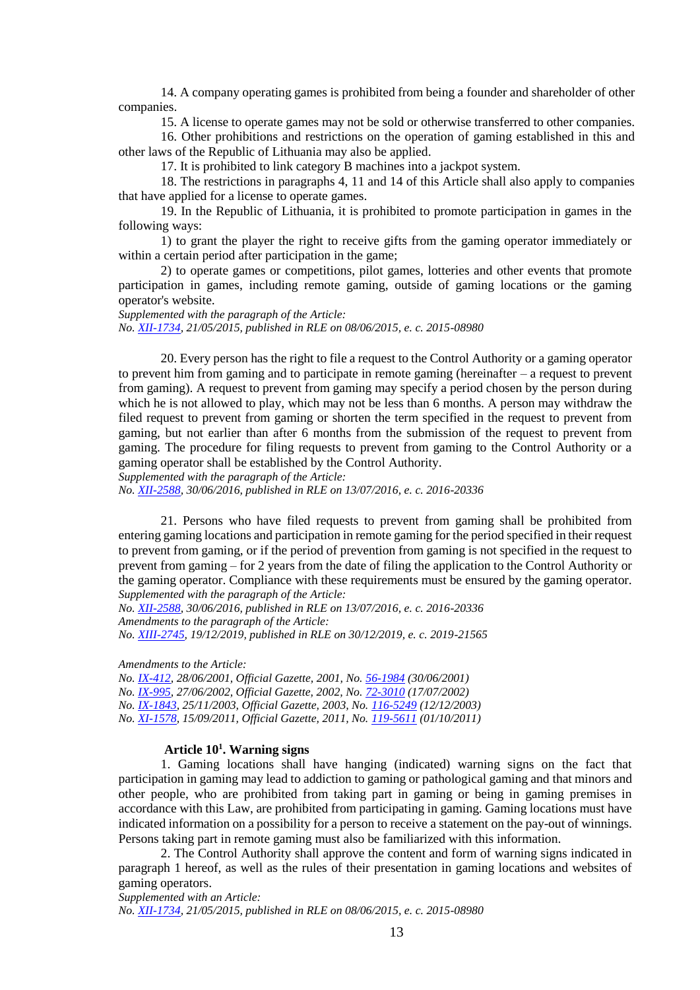14. A company operating games is prohibited from being a founder and shareholder of other companies.

15. A license to operate games may not be sold or otherwise transferred to other companies.

16. Other prohibitions and restrictions on the operation of gaming established in this and other laws of the Republic of Lithuania may also be applied.

17. It is prohibited to link category B machines into a jackpot system.

18. The restrictions in paragraphs 4, 11 and 14 of this Article shall also apply to companies that have applied for a license to operate games.

19. In the Republic of Lithuania, it is prohibited to promote participation in games in the following ways:

1) to grant the player the right to receive gifts from the gaming operator immediately or within a certain period after participation in the game;

2) to operate games or competitions, pilot games, lotteries and other events that promote participation in games, including remote gaming, outside of gaming locations or the gaming operator's website.

*Supplemented with the paragraph of the Article: No. [XII-1734,](https://www.e-tar.lt/portal/legalAct.html?documentId=0f7f08200da011e5920c94700bb1958e) 21/05/2015, published in RLE on 08/06/2015, e. c. 2015-08980*

20. Every person has the right to file a request to the Control Authority or a gaming operator to prevent him from gaming and to participate in remote gaming (hereinafter – a request to prevent from gaming). A request to prevent from gaming may specify a period chosen by the person during which he is not allowed to play, which may not be less than 6 months. A person may withdraw the filed request to prevent from gaming or shorten the term specified in the request to prevent from gaming, but not earlier than after 6 months from the submission of the request to prevent from gaming. The procedure for filing requests to prevent from gaming to the Control Authority or a gaming operator shall be established by the Control Authority.

*Supplemented with the paragraph of the Article:*

*No. [XII-2588,](https://www.e-tar.lt/portal/legalAct.html?documentId=46db747048fa11e6b5d09300a16a686c) 30/06/2016, published in RLE on 13/07/2016, e. c. 2016-20336*

21. Persons who have filed requests to prevent from gaming shall be prohibited from entering gaming locations and participation in remote gaming for the period specified in their request to prevent from gaming, or if the period of prevention from gaming is not specified in the request to prevent from gaming – for 2 years from the date of filing the application to the Control Authority or the gaming operator. Compliance with these requirements must be ensured by the gaming operator. *Supplemented with the paragraph of the Article:*

*No. [XII-2588,](https://www.e-tar.lt/portal/legalAct.html?documentId=46db747048fa11e6b5d09300a16a686c) 30/06/2016, published in RLE on 13/07/2016, e. c. 2016-20336 Amendments to the paragraph of the Article:*

*No. [XIII-2745,](https://www.e-tar.lt/portal/legalAct.html?documentId=4c539f802ad911eabe008ea93139d588) 19/12/2019, published in RLE on 30/12/2019, e. c. 2019-21565*

*Amendments to the Article:*

*No. [IX-412,](http://www3.lrs.lt/cgi-bin/preps2?a=140229&b=) 28/06/2001, Official Gazette, 2001, No. [56-1984](https://www.e-tar.lt/portal/legalAct.html?documentId=TAIS.140229) (30/06/2001)*

*No. [IX-995,](http://www3.lrs.lt/cgi-bin/preps2?a=171175&b=) 27/06/2002, Official Gazette, 2002, No. [72-3010](https://www.e-tar.lt/portal/legalAct.html?documentId=TAIS.171175) (17/07/2002)*

*No. [IX-1843,](http://www3.lrs.lt/cgi-bin/preps2?a=223214&b=) 25/11/2003, Official Gazette, 2003, No. [116-5249](https://www.e-tar.lt/portal/legalAct.html?documentId=TAIS.223214) (12/12/2003)*

*No. [XI-1578,](http://www3.lrs.lt/cgi-bin/preps2?a=406675&b=) 15/09/2011, Official Gazette, 2011, No. [119-5611](https://www.e-tar.lt/portal/legalAct.html?documentId=TAIS.406675) (01/10/2011)*

## **Article 10<sup>1</sup> . Warning signs**

1. Gaming locations shall have hanging (indicated) warning signs on the fact that participation in gaming may lead to addiction to gaming or pathological gaming and that minors and other people, who are prohibited from taking part in gaming or being in gaming premises in accordance with this Law, are prohibited from participating in gaming. Gaming locations must have indicated information on a possibility for a person to receive a statement on the pay-out of winnings. Persons taking part in remote gaming must also be familiarized with this information.

2. The Control Authority shall approve the content and form of warning signs indicated in paragraph 1 hereof, as well as the rules of their presentation in gaming locations and websites of gaming operators.

*Supplemented with an Article:*

*No. [XII-1734,](https://www.e-tar.lt/portal/legalAct.html?documentId=0f7f08200da011e5920c94700bb1958e) 21/05/2015, published in RLE on 08/06/2015, e. c. 2015-08980*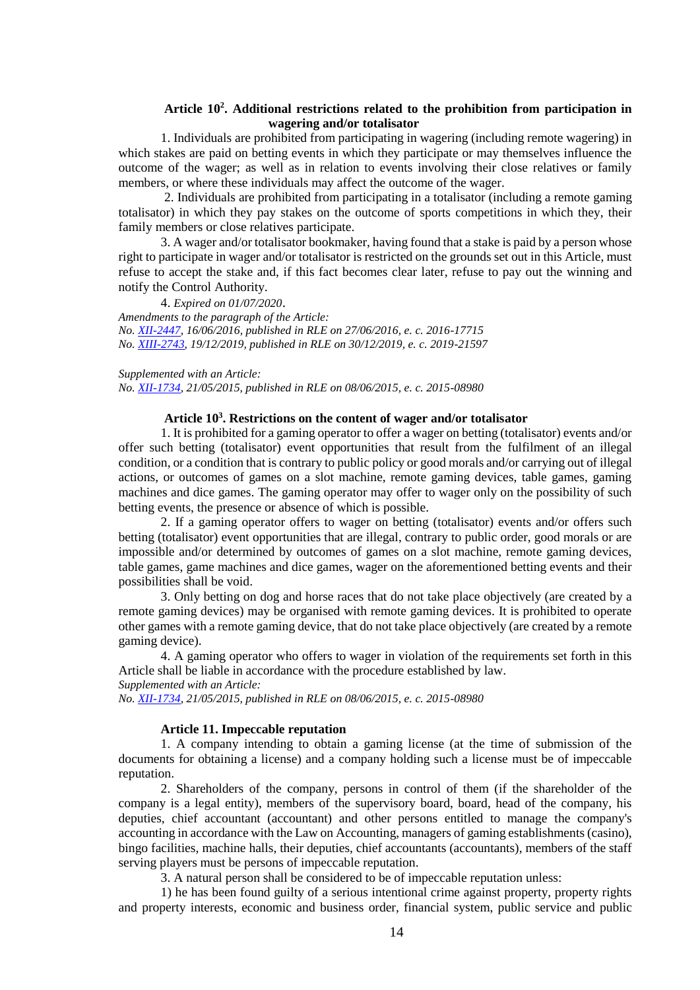## **Article 10<sup>2</sup> . Additional restrictions related to the prohibition from participation in wagering and/or totalisator**

1. Individuals are prohibited from participating in wagering (including remote wagering) in which stakes are paid on betting events in which they participate or may themselves influence the outcome of the wager; as well as in relation to events involving their close relatives or family members, or where these individuals may affect the outcome of the wager.

2. Individuals are prohibited from participating in a totalisator (including a remote gaming totalisator) in which they pay stakes on the outcome of sports competitions in which they, their family members or close relatives participate.

3. A wager and/or totalisator bookmaker, having found that a stake is paid by a person whose right to participate in wager and/or totalisator is restricted on the grounds set out in this Article, must refuse to accept the stake and, if this fact becomes clear later, refuse to pay out the winning and notify the Control Authority.

4. *Expired on 01/07/2020*. *Amendments to the paragraph of the Article: No. [XII-2447,](https://www.e-tar.lt/portal/legalAct.html?documentId=ab57b0403c5b11e6bcc5c96b48152012) 16/06/2016, published in RLE on 27/06/2016, e. c. 2016-17715 No. [XIII-2743,](https://www.e-tar.lt/portal/legalAct.html?documentId=cb645e302af811eabe008ea93139d588) 19/12/2019, published in RLE on 30/12/2019, e. c. 2019-21597*

*Supplemented with an Article: No. [XII-1734,](https://www.e-tar.lt/portal/legalAct.html?documentId=0f7f08200da011e5920c94700bb1958e) 21/05/2015, published in RLE on 08/06/2015, e. c. 2015-08980*

## **Article 10<sup>3</sup> . Restrictions on the content of wager and/or totalisator**

1. It is prohibited for a gaming operator to offer a wager on betting (totalisator) events and/or offer such betting (totalisator) event opportunities that result from the fulfilment of an illegal condition, or a condition that is contrary to public policy or good morals and/or carrying out of illegal actions, or outcomes of games on a slot machine, remote gaming devices, table games, gaming machines and dice games. The gaming operator may offer to wager only on the possibility of such betting events, the presence or absence of which is possible.

2. If a gaming operator offers to wager on betting (totalisator) events and/or offers such betting (totalisator) event opportunities that are illegal, contrary to public order, good morals or are impossible and/or determined by outcomes of games on a slot machine, remote gaming devices, table games, game machines and dice games, wager on the aforementioned betting events and their possibilities shall be void.

3. Only betting on dog and horse races that do not take place objectively (are created by a remote gaming devices) may be organised with remote gaming devices. It is prohibited to operate other games with a remote gaming device, that do not take place objectively (are created by a remote gaming device).

4. A gaming operator who offers to wager in violation of the requirements set forth in this Article shall be liable in accordance with the procedure established by law.

*Supplemented with an Article:*

*No. [XII-1734,](https://www.e-tar.lt/portal/legalAct.html?documentId=0f7f08200da011e5920c94700bb1958e) 21/05/2015, published in RLE on 08/06/2015, e. c. 2015-08980*

#### **Article 11. Impeccable reputation**

1. A company intending to obtain a gaming license (at the time of submission of the documents for obtaining a license) and a company holding such a license must be of impeccable reputation.

2. Shareholders of the company, persons in control of them (if the shareholder of the company is a legal entity), members of the supervisory board, board, head of the company, his deputies, chief accountant (accountant) and other persons entitled to manage the company's accounting in accordance with the Law on Accounting, managers of gaming establishments (casino), bingo facilities, machine halls, their deputies, chief accountants (accountants), members of the staff serving players must be persons of impeccable reputation.

3. A natural person shall be considered to be of impeccable reputation unless:

1) he has been found guilty of a serious intentional crime against property, property rights and property interests, economic and business order, financial system, public service and public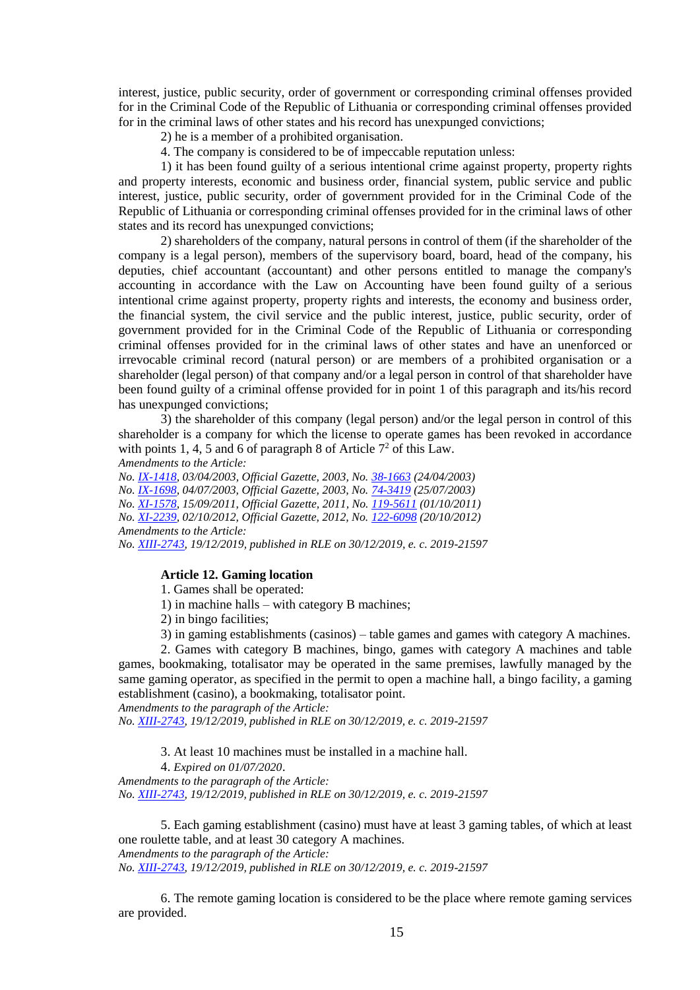interest, justice, public security, order of government or corresponding criminal offenses provided for in the Criminal Code of the Republic of Lithuania or corresponding criminal offenses provided for in the criminal laws of other states and his record has unexpunged convictions;

2) he is a member of a prohibited organisation.

4. The company is considered to be of impeccable reputation unless:

1) it has been found guilty of a serious intentional crime against property, property rights and property interests, economic and business order, financial system, public service and public interest, justice, public security, order of government provided for in the Criminal Code of the Republic of Lithuania or corresponding criminal offenses provided for in the criminal laws of other states and its record has unexpunged convictions;

2) shareholders of the company, natural persons in control of them (if the shareholder of the company is a legal person), members of the supervisory board, board, head of the company, his deputies, chief accountant (accountant) and other persons entitled to manage the company's accounting in accordance with the Law on Accounting have been found guilty of a serious intentional crime against property, property rights and interests, the economy and business order, the financial system, the civil service and the public interest, justice, public security, order of government provided for in the Criminal Code of the Republic of Lithuania or corresponding criminal offenses provided for in the criminal laws of other states and have an unenforced or irrevocable criminal record (natural person) or are members of a prohibited organisation or a shareholder (legal person) of that company and/or a legal person in control of that shareholder have been found guilty of a criminal offense provided for in point 1 of this paragraph and its/his record has unexpunged convictions;

3) the shareholder of this company (legal person) and/or the legal person in control of this shareholder is a company for which the license to operate games has been revoked in accordance with points 1, 4, 5 and 6 of paragraph 8 of Article  $7<sup>2</sup>$  of this Law.

*Amendments to the Article:*

*No. [IX-1418,](http://www3.lrs.lt/cgi-bin/preps2?a=209615&b=) 03/04/2003, Official Gazette, 2003, No. [38-1663](https://www.e-tar.lt/portal/legalAct.html?documentId=TAIS.209615) (24/04/2003) No. [IX-1698,](http://www3.lrs.lt/cgi-bin/preps2?a=215811&b=) 04/07/2003, Official Gazette, 2003, No. [74-3419](https://www.e-tar.lt/portal/legalAct.html?documentId=TAIS.215811) (25/07/2003) No. [XI-1578,](http://www3.lrs.lt/cgi-bin/preps2?a=406675&b=) 15/09/2011, Official Gazette, 2011, No. [119-5611](https://www.e-tar.lt/portal/legalAct.html?documentId=TAIS.406675) (01/10/2011) No. [XI-2239,](http://www3.lrs.lt/cgi-bin/preps2?a=434531&b=) 02/10/2012, Official Gazette, 2012, No. [122-6098](https://www.e-tar.lt/portal/legalAct.html?documentId=TAIS.434531) (20/10/2012) Amendments to the Article: No. [XIII-2743,](https://www.e-tar.lt/portal/legalAct.html?documentId=cb645e302af811eabe008ea93139d588) 19/12/2019, published in RLE on 30/12/2019, e. c. 2019-21597*

# **Article 12. Gaming location**

1. Games shall be operated:

1) in machine halls – with category B machines;

2) in bingo facilities;

3) in gaming establishments (casinos) – table games and games with category A machines.

2. Games with category B machines, bingo, games with category A machines and table games, bookmaking, totalisator may be operated in the same premises, lawfully managed by the same gaming operator, as specified in the permit to open a machine hall, a bingo facility, a gaming establishment (casino), a bookmaking, totalisator point.

*Amendments to the paragraph of the Article: No. [XIII-2743,](https://www.e-tar.lt/portal/legalAct.html?documentId=cb645e302af811eabe008ea93139d588) 19/12/2019, published in RLE on 30/12/2019, e. c. 2019-21597*

3. At least 10 machines must be installed in a machine hall.

4. *Expired on 01/07/2020*. *Amendments to the paragraph of the Article:*

*No. [XIII-2743,](https://www.e-tar.lt/portal/legalAct.html?documentId=cb645e302af811eabe008ea93139d588) 19/12/2019, published in RLE on 30/12/2019, e. c. 2019-21597*

5. Each gaming establishment (casino) must have at least 3 gaming tables, of which at least one roulette table, and at least 30 category A machines. *Amendments to the paragraph of the Article:*

*No. [XIII-2743,](https://www.e-tar.lt/portal/legalAct.html?documentId=cb645e302af811eabe008ea93139d588) 19/12/2019, published in RLE on 30/12/2019, e. c. 2019-21597*

6. The remote gaming location is considered to be the place where remote gaming services are provided.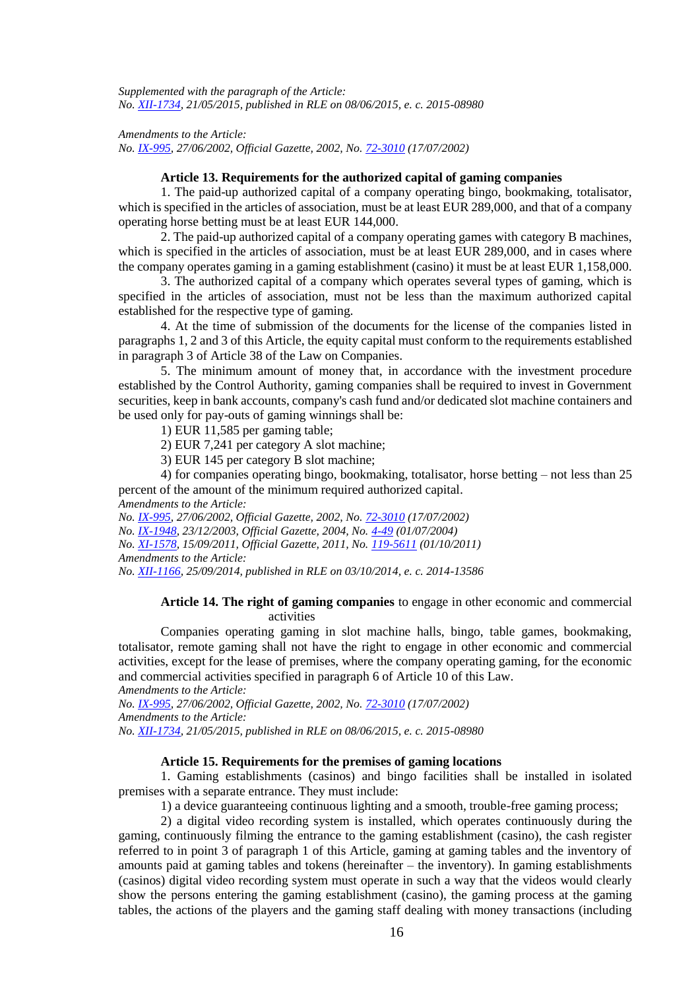*Supplemented with the paragraph of the Article: No. [XII-1734,](https://www.e-tar.lt/portal/legalAct.html?documentId=0f7f08200da011e5920c94700bb1958e) 21/05/2015, published in RLE on 08/06/2015, e. c. 2015-08980*

*Amendments to the Article: No. [IX-995,](http://www3.lrs.lt/cgi-bin/preps2?a=171175&b=) 27/06/2002, Official Gazette, 2002, No. [72-3010](https://www.e-tar.lt/portal/legalAct.html?documentId=TAIS.171175) (17/07/2002)*

### **Article 13. Requirements for the authorized capital of gaming companies**

1. The paid-up authorized capital of a company operating bingo, bookmaking, totalisator, which is specified in the articles of association, must be at least EUR 289,000, and that of a company operating horse betting must be at least EUR 144,000.

2. The paid-up authorized capital of a company operating games with category B machines, which is specified in the articles of association, must be at least EUR 289,000, and in cases where the company operates gaming in a gaming establishment (casino) it must be at least EUR 1,158,000.

3. The authorized capital of a company which operates several types of gaming, which is specified in the articles of association, must not be less than the maximum authorized capital established for the respective type of gaming.

4. At the time of submission of the documents for the license of the companies listed in paragraphs 1, 2 and 3 of this Article, the equity capital must conform to the requirements established in paragraph 3 of Article 38 of the Law on Companies.

5. The minimum amount of money that, in accordance with the investment procedure established by the Control Authority, gaming companies shall be required to invest in Government securities, keep in bank accounts, company's cash fund and/or dedicated slot machine containers and be used only for pay-outs of gaming winnings shall be:

1) EUR 11,585 per gaming table;

2) EUR 7,241 per category A slot machine;

3) EUR 145 per category B slot machine;

4) for companies operating bingo, bookmaking, totalisator, horse betting – not less than 25 percent of the amount of the minimum required authorized capital. *Amendments to the Article:*

*No. [IX-995,](http://www3.lrs.lt/cgi-bin/preps2?a=171175&b=) 27/06/2002, Official Gazette, 2002, No. [72-3010](https://www.e-tar.lt/portal/legalAct.html?documentId=TAIS.171175) (17/07/2002) No. [IX-1948,](http://www3.lrs.lt/cgi-bin/preps2?a=224489&b=) 23/12/2003, Official Gazette, 2004, No. [4-49](https://www.e-tar.lt/portal/legalAct.html?documentId=TAIS.224489) (01/07/2004) No. [XI-1578,](http://www3.lrs.lt/cgi-bin/preps2?a=406675&b=) 15/09/2011, Official Gazette, 2011, No. [119-5611](https://www.e-tar.lt/portal/legalAct.html?documentId=TAIS.406675) (01/10/2011) Amendments to the Article: No. [XII-1166,](https://www.e-tar.lt/portal/legalAct.html?documentId=ed32aea04ae711e4a8328599cac64d82) 25/09/2014, published in RLE on 03/10/2014, e. c. 2014-13586*

## **Article 14. The right of gaming companies** to engage in other economic and commercial activities

Companies operating gaming in slot machine halls, bingo, table games, bookmaking, totalisator, remote gaming shall not have the right to engage in other economic and commercial activities, except for the lease of premises, where the company operating gaming, for the economic and commercial activities specified in paragraph 6 of Article 10 of this Law.

*Amendments to the Article:*

*No. [IX-995,](http://www3.lrs.lt/cgi-bin/preps2?a=171175&b=) 27/06/2002, Official Gazette, 2002, No. [72-3010](https://www.e-tar.lt/portal/legalAct.html?documentId=TAIS.171175) (17/07/2002) Amendments to the Article: No. [XII-1734,](https://www.e-tar.lt/portal/legalAct.html?documentId=0f7f08200da011e5920c94700bb1958e) 21/05/2015, published in RLE on 08/06/2015, e. c. 2015-08980*

# **Article 15. Requirements for the premises of gaming locations**

1. Gaming establishments (casinos) and bingo facilities shall be installed in isolated premises with a separate entrance. They must include:

1) a device guaranteeing continuous lighting and a smooth, trouble-free gaming process;

2) a digital video recording system is installed, which operates continuously during the gaming, continuously filming the entrance to the gaming establishment (casino), the cash register referred to in point 3 of paragraph 1 of this Article, gaming at gaming tables and the inventory of amounts paid at gaming tables and tokens (hereinafter – the inventory). In gaming establishments (casinos) digital video recording system must operate in such a way that the videos would clearly show the persons entering the gaming establishment (casino), the gaming process at the gaming tables, the actions of the players and the gaming staff dealing with money transactions (including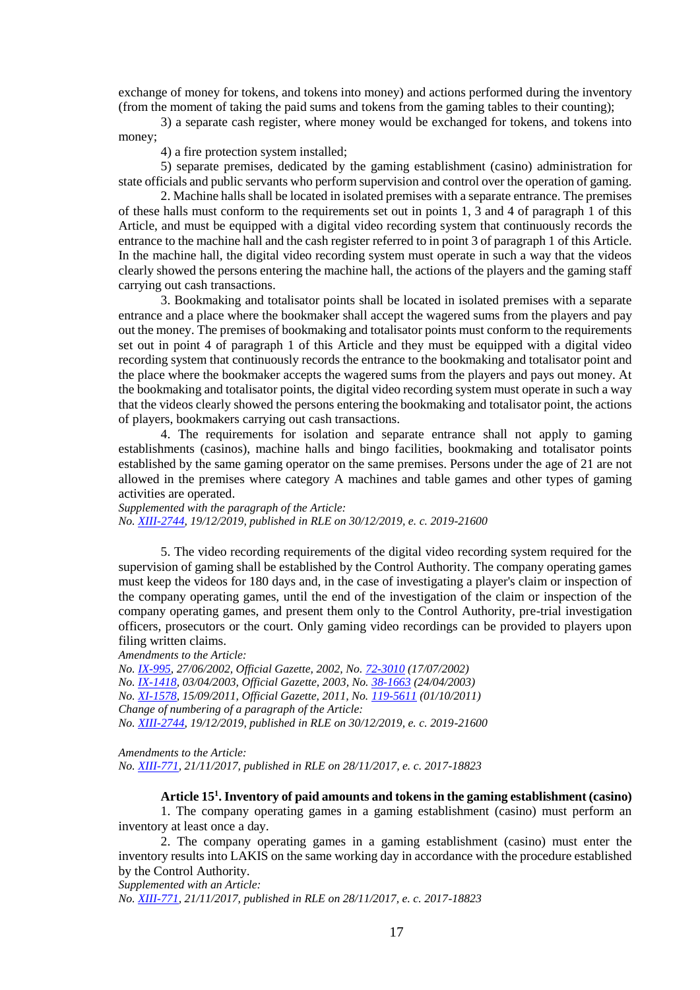exchange of money for tokens, and tokens into money) and actions performed during the inventory (from the moment of taking the paid sums and tokens from the gaming tables to their counting);

3) a separate cash register, where money would be exchanged for tokens, and tokens into money;

4) a fire protection system installed;

5) separate premises, dedicated by the gaming establishment (casino) administration for state officials and public servants who perform supervision and control over the operation of gaming.

2. Machine halls shall be located in isolated premises with a separate entrance. The premises of these halls must conform to the requirements set out in points 1, 3 and 4 of paragraph 1 of this Article, and must be equipped with a digital video recording system that continuously records the entrance to the machine hall and the cash register referred to in point 3 of paragraph 1 of this Article. In the machine hall, the digital video recording system must operate in such a way that the videos clearly showed the persons entering the machine hall, the actions of the players and the gaming staff carrying out cash transactions.

3. Bookmaking and totalisator points shall be located in isolated premises with a separate entrance and a place where the bookmaker shall accept the wagered sums from the players and pay out the money. The premises of bookmaking and totalisator points must conform to the requirements set out in point 4 of paragraph 1 of this Article and they must be equipped with a digital video recording system that continuously records the entrance to the bookmaking and totalisator point and the place where the bookmaker accepts the wagered sums from the players and pays out money. At the bookmaking and totalisator points, the digital video recording system must operate in such a way that the videos clearly showed the persons entering the bookmaking and totalisator point, the actions of players, bookmakers carrying out cash transactions.

4. The requirements for isolation and separate entrance shall not apply to gaming establishments (casinos), machine halls and bingo facilities, bookmaking and totalisator points established by the same gaming operator on the same premises. Persons under the age of 21 are not allowed in the premises where category A machines and table games and other types of gaming activities are operated.

*Supplemented with the paragraph of the Article: No. [XIII-2744,](https://www.e-tar.lt/portal/legalAct.html?documentId=3ccd92302af911eabe008ea93139d588) 19/12/2019, published in RLE on 30/12/2019, e. c. 2019-21600*

5. The video recording requirements of the digital video recording system required for the supervision of gaming shall be established by the Control Authority. The company operating games must keep the videos for 180 days and, in the case of investigating a player's claim or inspection of the company operating games, until the end of the investigation of the claim or inspection of the company operating games, and present them only to the Control Authority, pre-trial investigation officers, prosecutors or the court. Only gaming video recordings can be provided to players upon filing written claims.

*Amendments to the Article:*

*No. [IX-995,](http://www3.lrs.lt/cgi-bin/preps2?a=171175&b=) 27/06/2002, Official Gazette, 2002, No. [72-3010](https://www.e-tar.lt/portal/legalAct.html?documentId=TAIS.171175) (17/07/2002) No. [IX-1418,](http://www3.lrs.lt/cgi-bin/preps2?a=209615&b=) 03/04/2003, Official Gazette, 2003, No. [38-1663](https://www.e-tar.lt/portal/legalAct.html?documentId=TAIS.209615) (24/04/2003) No. [XI-1578,](http://www3.lrs.lt/cgi-bin/preps2?a=406675&b=) 15/09/2011, Official Gazette, 2011, No. [119-5611](https://www.e-tar.lt/portal/legalAct.html?documentId=TAIS.406675) (01/10/2011) Change of numbering of a paragraph of the Article: No. [XIII-2744,](https://www.e-tar.lt/portal/legalAct.html?documentId=3ccd92302af911eabe008ea93139d588) 19/12/2019, published in RLE on 30/12/2019, e. c. 2019-21600*

*Amendments to the Article: No. [XIII-771,](https://www.e-tar.lt/portal/legalAct.html?documentId=4f2c8620d41111e7910a89ac20768b0f) 21/11/2017, published in RLE on 28/11/2017, e. c. 2017-18823*

## **Article 15<sup>1</sup> . Inventory of paid amounts and tokens in the gaming establishment (casino)**

1. The company operating games in a gaming establishment (casino) must perform an inventory at least once a day.

2. The company operating games in a gaming establishment (casino) must enter the inventory results into LAKIS on the same working day in accordance with the procedure established by the Control Authority.

*Supplemented with an Article:*

*No. [XIII-771,](https://www.e-tar.lt/portal/legalAct.html?documentId=4f2c8620d41111e7910a89ac20768b0f) 21/11/2017, published in RLE on 28/11/2017, e. c. 2017-18823*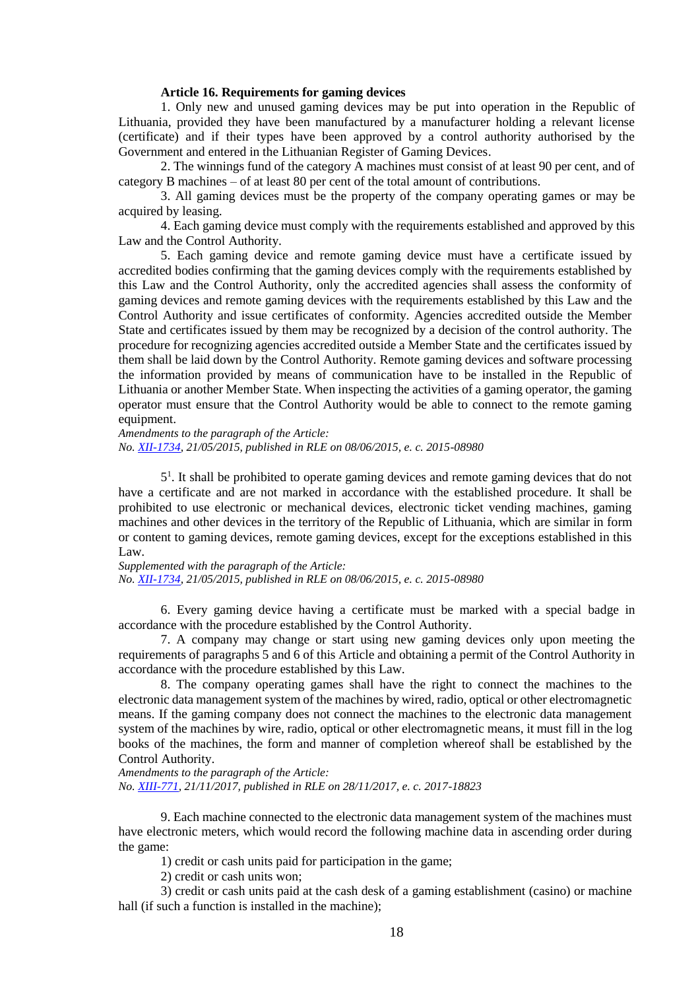#### **Article 16. Requirements for gaming devices**

1. Only new and unused gaming devices may be put into operation in the Republic of Lithuania, provided they have been manufactured by a manufacturer holding a relevant license (certificate) and if their types have been approved by a control authority authorised by the Government and entered in the Lithuanian Register of Gaming Devices.

2. The winnings fund of the category A machines must consist of at least 90 per cent, and of category B machines – of at least 80 per cent of the total amount of contributions.

3. All gaming devices must be the property of the company operating games or may be acquired by leasing.

4. Each gaming device must comply with the requirements established and approved by this Law and the Control Authority.

5. Each gaming device and remote gaming device must have a certificate issued by accredited bodies confirming that the gaming devices comply with the requirements established by this Law and the Control Authority, only the accredited agencies shall assess the conformity of gaming devices and remote gaming devices with the requirements established by this Law and the Control Authority and issue certificates of conformity. Agencies accredited outside the Member State and certificates issued by them may be recognized by a decision of the control authority. The procedure for recognizing agencies accredited outside a Member State and the certificates issued by them shall be laid down by the Control Authority. Remote gaming devices and software processing the information provided by means of communication have to be installed in the Republic of Lithuania or another Member State. When inspecting the activities of a gaming operator, the gaming operator must ensure that the Control Authority would be able to connect to the remote gaming equipment.

*Amendments to the paragraph of the Article: No. [XII-1734,](https://www.e-tar.lt/portal/legalAct.html?documentId=0f7f08200da011e5920c94700bb1958e) 21/05/2015, published in RLE on 08/06/2015, e. c. 2015-08980*

5 1 . It shall be prohibited to operate gaming devices and remote gaming devices that do not have a certificate and are not marked in accordance with the established procedure. It shall be prohibited to use electronic or mechanical devices, electronic ticket vending machines, gaming machines and other devices in the territory of the Republic of Lithuania, which are similar in form or content to gaming devices, remote gaming devices, except for the exceptions established in this Law.

*Supplemented with the paragraph of the Article: No. [XII-1734,](https://www.e-tar.lt/portal/legalAct.html?documentId=0f7f08200da011e5920c94700bb1958e) 21/05/2015, published in RLE on 08/06/2015, e. c. 2015-08980*

6. Every gaming device having a certificate must be marked with a special badge in accordance with the procedure established by the Control Authority.

7. A company may change or start using new gaming devices only upon meeting the requirements of paragraphs 5 and 6 of this Article and obtaining a permit of the Control Authority in accordance with the procedure established by this Law.

8. The company operating games shall have the right to connect the machines to the electronic data management system of the machines by wired, radio, optical or other electromagnetic means. If the gaming company does not connect the machines to the electronic data management system of the machines by wire, radio, optical or other electromagnetic means, it must fill in the log books of the machines, the form and manner of completion whereof shall be established by the Control Authority.

*Amendments to the paragraph of the Article: No. [XIII-771,](https://www.e-tar.lt/portal/legalAct.html?documentId=4f2c8620d41111e7910a89ac20768b0f) 21/11/2017, published in RLE on 28/11/2017, e. c. 2017-18823*

9. Each machine connected to the electronic data management system of the machines must have electronic meters, which would record the following machine data in ascending order during the game:

1) credit or cash units paid for participation in the game;

2) credit or cash units won;

3) credit or cash units paid at the cash desk of a gaming establishment (casino) or machine hall (if such a function is installed in the machine);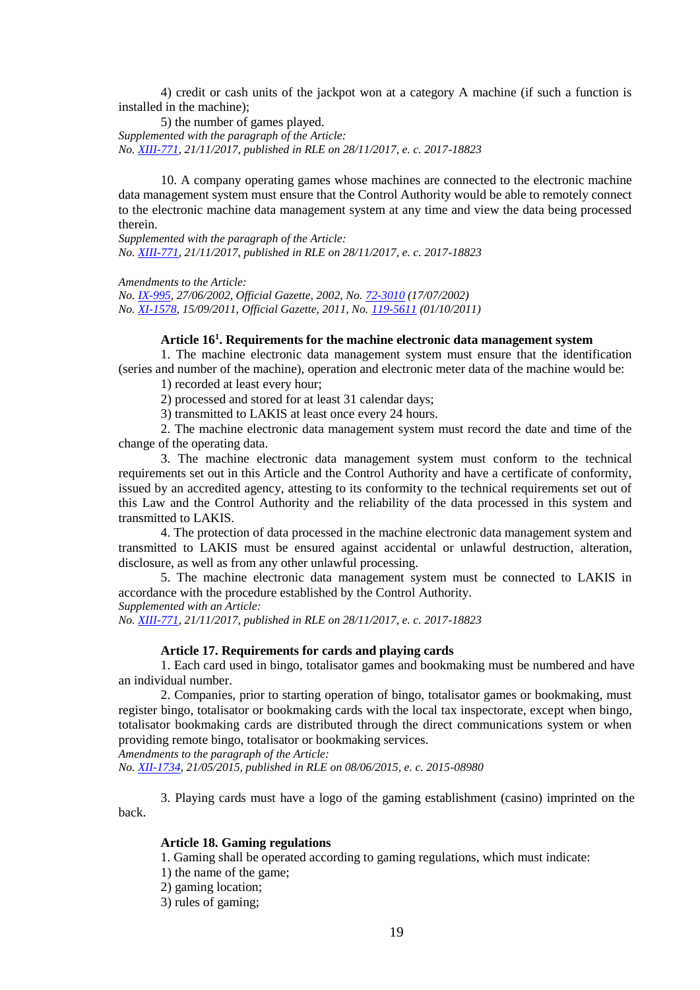4) credit or cash units of the jackpot won at a category A machine (if such a function is installed in the machine);

5) the number of games played. *Supplemented with the paragraph of the Article: No. [XIII-771,](https://www.e-tar.lt/portal/legalAct.html?documentId=4f2c8620d41111e7910a89ac20768b0f) 21/11/2017, published in RLE on 28/11/2017, e. c. 2017-18823*

10. A company operating games whose machines are connected to the electronic machine data management system must ensure that the Control Authority would be able to remotely connect to the electronic machine data management system at any time and view the data being processed therein.

*Supplemented with the paragraph of the Article: No. [XIII-771,](https://www.e-tar.lt/portal/legalAct.html?documentId=4f2c8620d41111e7910a89ac20768b0f) 21/11/2017, published in RLE on 28/11/2017, e. c. 2017-18823*

*Amendments to the Article:*

*No. [IX-995,](http://www3.lrs.lt/cgi-bin/preps2?a=171175&b=) 27/06/2002, Official Gazette, 2002, No. [72-3010](https://www.e-tar.lt/portal/legalAct.html?documentId=TAIS.171175) (17/07/2002) No. [XI-1578,](http://www3.lrs.lt/cgi-bin/preps2?a=406675&b=) 15/09/2011, Official Gazette, 2011, No. [119-5611](https://www.e-tar.lt/portal/legalAct.html?documentId=TAIS.406675) (01/10/2011)*

## **Article 16<sup>1</sup> . Requirements for the machine electronic data management system**

1. The machine electronic data management system must ensure that the identification (series and number of the machine), operation and electronic meter data of the machine would be:

1) recorded at least every hour;

2) processed and stored for at least 31 calendar days;

3) transmitted to LAKIS at least once every 24 hours.

2. The machine electronic data management system must record the date and time of the change of the operating data.

3. The machine electronic data management system must conform to the technical requirements set out in this Article and the Control Authority and have a certificate of conformity, issued by an accredited agency, attesting to its conformity to the technical requirements set out of this Law and the Control Authority and the reliability of the data processed in this system and transmitted to LAKIS.

4. The protection of data processed in the machine electronic data management system and transmitted to LAKIS must be ensured against accidental or unlawful destruction, alteration, disclosure, as well as from any other unlawful processing.

5. The machine electronic data management system must be connected to LAKIS in accordance with the procedure established by the Control Authority.

*Supplemented with an Article:*

*No. [XIII-771,](https://www.e-tar.lt/portal/legalAct.html?documentId=4f2c8620d41111e7910a89ac20768b0f) 21/11/2017, published in RLE on 28/11/2017, e. c. 2017-18823*

## **Article 17. Requirements for cards and playing cards**

1. Each card used in bingo, totalisator games and bookmaking must be numbered and have an individual number.

2. Companies, prior to starting operation of bingo, totalisator games or bookmaking, must register bingo, totalisator or bookmaking cards with the local tax inspectorate, except when bingo, totalisator bookmaking cards are distributed through the direct communications system or when providing remote bingo, totalisator or bookmaking services.

*Amendments to the paragraph of the Article:*

*No. [XII-1734,](https://www.e-tar.lt/portal/legalAct.html?documentId=0f7f08200da011e5920c94700bb1958e) 21/05/2015, published in RLE on 08/06/2015, e. c. 2015-08980*

3. Playing cards must have a logo of the gaming establishment (casino) imprinted on the back.

## **Article 18. Gaming regulations**

1. Gaming shall be operated according to gaming regulations, which must indicate:

1) the name of the game;

- 2) gaming location;
- 3) rules of gaming;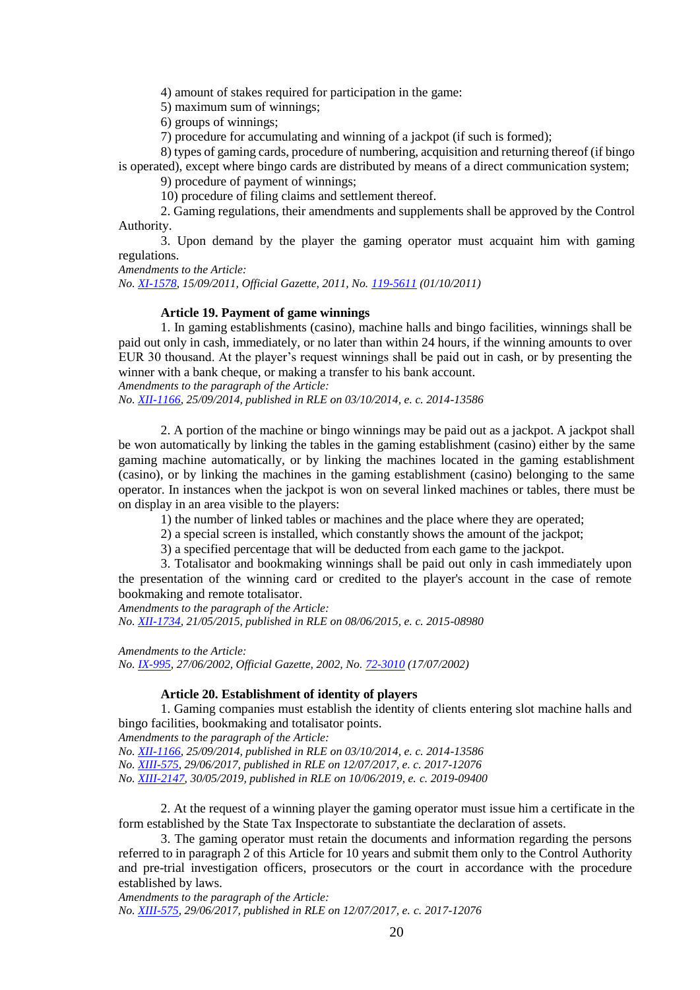4) amount of stakes required for participation in the game:

5) maximum sum of winnings;

6) groups of winnings;

7) procedure for accumulating and winning of a jackpot (if such is formed);

8) types of gaming cards, procedure of numbering, acquisition and returning thereof (if bingo

is operated), except where bingo cards are distributed by means of a direct communication system;

9) procedure of payment of winnings;

10) procedure of filing claims and settlement thereof.

2. Gaming regulations, their amendments and supplements shall be approved by the Control Authority.

3. Upon demand by the player the gaming operator must acquaint him with gaming regulations.

*Amendments to the Article:*

*No. [XI-1578,](http://www3.lrs.lt/cgi-bin/preps2?a=406675&b=) 15/09/2011, Official Gazette, 2011, No. [119-5611](https://www.e-tar.lt/portal/legalAct.html?documentId=TAIS.406675) (01/10/2011)*

#### **Article 19. Payment of game winnings**

1. In gaming establishments (casino), machine halls and bingo facilities, winnings shall be paid out only in cash, immediately, or no later than within 24 hours, if the winning amounts to over EUR 30 thousand. At the player's request winnings shall be paid out in cash, or by presenting the winner with a bank cheque, or making a transfer to his bank account.

*Amendments to the paragraph of the Article:*

*No. [XII-1166,](https://www.e-tar.lt/portal/legalAct.html?documentId=ed32aea04ae711e4a8328599cac64d82) 25/09/2014, published in RLE on 03/10/2014, e. c. 2014-13586*

2. A portion of the machine or bingo winnings may be paid out as a jackpot. A jackpot shall be won automatically by linking the tables in the gaming establishment (casino) either by the same gaming machine automatically, or by linking the machines located in the gaming establishment (casino), or by linking the machines in the gaming establishment (casino) belonging to the same operator. In instances when the jackpot is won on several linked machines or tables, there must be on display in an area visible to the players:

1) the number of linked tables or machines and the place where they are operated;

2) a special screen is installed, which constantly shows the amount of the jackpot;

3) a specified percentage that will be deducted from each game to the jackpot.

3. Totalisator and bookmaking winnings shall be paid out only in cash immediately upon the presentation of the winning card or credited to the player's account in the case of remote bookmaking and remote totalisator.

*Amendments to the paragraph of the Article:*

*No. [XII-1734,](https://www.e-tar.lt/portal/legalAct.html?documentId=0f7f08200da011e5920c94700bb1958e) 21/05/2015, published in RLE on 08/06/2015, e. c. 2015-08980*

*Amendments to the Article:*

*No. [IX-995,](http://www3.lrs.lt/cgi-bin/preps2?a=171175&b=) 27/06/2002, Official Gazette, 2002, No. [72-3010](https://www.e-tar.lt/portal/legalAct.html?documentId=TAIS.171175) (17/07/2002)*

## **Article 20. Establishment of identity of players**

1. Gaming companies must establish the identity of clients entering slot machine halls and bingo facilities, bookmaking and totalisator points.

*Amendments to the paragraph of the Article:*

*No. [XII-1166,](https://www.e-tar.lt/portal/legalAct.html?documentId=ed32aea04ae711e4a8328599cac64d82) 25/09/2014, published in RLE on 03/10/2014, e. c. 2014-13586 No. [XIII-575,](https://www.e-tar.lt/portal/legalAct.html?documentId=3c48c210670811e7b85cfdc787069b42) 29/06/2017, published in RLE on 12/07/2017, e. c. 2017-12076 No. [XIII-2147,](https://www.e-tar.lt/portal/legalAct.html?documentId=796b4e508b7911e9ae2e9d61b1f977b3) 30/05/2019, published in RLE on 10/06/2019, e. c. 2019-09400*

2. At the request of a winning player the gaming operator must issue him a certificate in the form established by the State Tax Inspectorate to substantiate the declaration of assets.

3. The gaming operator must retain the documents and information regarding the persons referred to in paragraph 2 of this Article for 10 years and submit them only to the Control Authority and pre-trial investigation officers, prosecutors or the court in accordance with the procedure established by laws.

*Amendments to the paragraph of the Article: No. [XIII-575,](https://www.e-tar.lt/portal/legalAct.html?documentId=3c48c210670811e7b85cfdc787069b42) 29/06/2017, published in RLE on 12/07/2017, e. c. 2017-12076*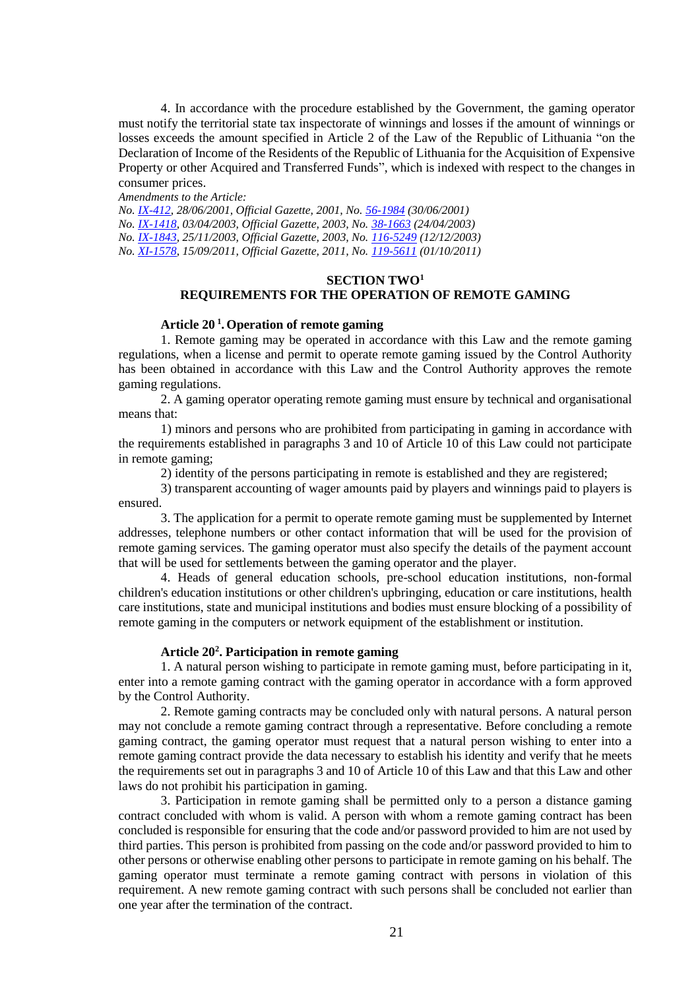4. In accordance with the procedure established by the Government, the gaming operator must notify the territorial state tax inspectorate of winnings and losses if the amount of winnings or losses exceeds the amount specified in Article 2 of the Law of the Republic of Lithuania "on the Declaration of Income of the Residents of the Republic of Lithuania for the Acquisition of Expensive Property or other Acquired and Transferred Funds", which is indexed with respect to the changes in consumer prices.

*Amendments to the Article:*

*No. [IX-412,](http://www3.lrs.lt/cgi-bin/preps2?a=140229&b=) 28/06/2001, Official Gazette, 2001, No. [56-1984](https://www.e-tar.lt/portal/legalAct.html?documentId=TAIS.140229) (30/06/2001)*

*No. [IX-1418,](http://www3.lrs.lt/cgi-bin/preps2?a=209615&b=) 03/04/2003, Official Gazette, 2003, No. [38-1663](https://www.e-tar.lt/portal/legalAct.html?documentId=TAIS.209615) (24/04/2003)*

*No. [IX-1843,](http://www3.lrs.lt/cgi-bin/preps2?a=223214&b=) 25/11/2003, Official Gazette, 2003, No. [116-5249](https://www.e-tar.lt/portal/legalAct.html?documentId=TAIS.223214) (12/12/2003)*

*No. [XI-1578,](http://www3.lrs.lt/cgi-bin/preps2?a=406675&b=) 15/09/2011, Official Gazette, 2011, No. [119-5611](https://www.e-tar.lt/portal/legalAct.html?documentId=TAIS.406675) (01/10/2011)*

## **SECTION TWO<sup>1</sup> REQUIREMENTS FOR THE OPERATION OF REMOTE GAMING**

## **Article 20 <sup>1</sup> .Operation of remote gaming**

1. Remote gaming may be operated in accordance with this Law and the remote gaming regulations, when a license and permit to operate remote gaming issued by the Control Authority has been obtained in accordance with this Law and the Control Authority approves the remote gaming regulations.

2. A gaming operator operating remote gaming must ensure by technical and organisational means that:

1) minors and persons who are prohibited from participating in gaming in accordance with the requirements established in paragraphs 3 and 10 of Article 10 of this Law could not participate in remote gaming;

2) identity of the persons participating in remote is established and they are registered;

3) transparent accounting of wager amounts paid by players and winnings paid to players is ensured.

3. The application for a permit to operate remote gaming must be supplemented by Internet addresses, telephone numbers or other contact information that will be used for the provision of remote gaming services. The gaming operator must also specify the details of the payment account that will be used for settlements between the gaming operator and the player.

4. Heads of general education schools, pre-school education institutions, non-formal children's education institutions or other children's upbringing, education or care institutions, health care institutions, state and municipal institutions and bodies must ensure blocking of a possibility of remote gaming in the computers or network equipment of the establishment or institution.

## **Article 20<sup>2</sup> . Participation in remote gaming**

1. A natural person wishing to participate in remote gaming must, before participating in it, enter into a remote gaming contract with the gaming operator in accordance with a form approved by the Control Authority.

2. Remote gaming contracts may be concluded only with natural persons. A natural person may not conclude a remote gaming contract through a representative. Before concluding a remote gaming contract, the gaming operator must request that a natural person wishing to enter into a remote gaming contract provide the data necessary to establish his identity and verify that he meets the requirements set out in paragraphs 3 and 10 of Article 10 of this Law and that this Law and other laws do not prohibit his participation in gaming.

3. Participation in remote gaming shall be permitted only to a person a distance gaming contract concluded with whom is valid. A person with whom a remote gaming contract has been concluded is responsible for ensuring that the code and/or password provided to him are not used by third parties. This person is prohibited from passing on the code and/or password provided to him to other persons or otherwise enabling other persons to participate in remote gaming on his behalf. The gaming operator must terminate a remote gaming contract with persons in violation of this requirement. A new remote gaming contract with such persons shall be concluded not earlier than one year after the termination of the contract.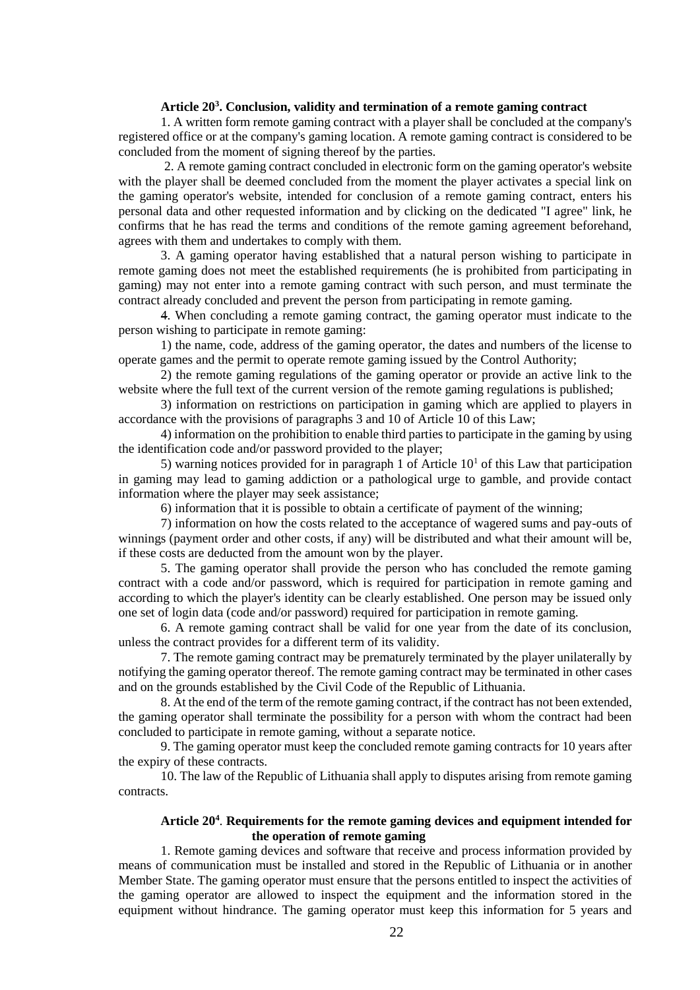## **Article 20<sup>3</sup> . Conclusion, validity and termination of a remote gaming contract**

1. A written form remote gaming contract with a player shall be concluded at the company's registered office or at the company's gaming location. A remote gaming contract is considered to be concluded from the moment of signing thereof by the parties.

2. A remote gaming contract concluded in electronic form on the gaming operator's website with the player shall be deemed concluded from the moment the player activates a special link on the gaming operator's website, intended for conclusion of a remote gaming contract, enters his personal data and other requested information and by clicking on the dedicated "I agree" link, he confirms that he has read the terms and conditions of the remote gaming agreement beforehand, agrees with them and undertakes to comply with them.

3. A gaming operator having established that a natural person wishing to participate in remote gaming does not meet the established requirements (he is prohibited from participating in gaming) may not enter into a remote gaming contract with such person, and must terminate the contract already concluded and prevent the person from participating in remote gaming.

4. When concluding a remote gaming contract, the gaming operator must indicate to the person wishing to participate in remote gaming:

1) the name, code, address of the gaming operator, the dates and numbers of the license to operate games and the permit to operate remote gaming issued by the Control Authority;

2) the remote gaming regulations of the gaming operator or provide an active link to the website where the full text of the current version of the remote gaming regulations is published;

3) information on restrictions on participation in gaming which are applied to players in accordance with the provisions of paragraphs 3 and 10 of Article 10 of this Law;

4) information on the prohibition to enable third parties to participate in the gaming by using the identification code and/or password provided to the player;

5) warning notices provided for in paragraph 1 of Article  $10<sup>1</sup>$  of this Law that participation in gaming may lead to gaming addiction or a pathological urge to gamble, and provide contact information where the player may seek assistance;

6) information that it is possible to obtain a certificate of payment of the winning;

7) information on how the costs related to the acceptance of wagered sums and pay-outs of winnings (payment order and other costs, if any) will be distributed and what their amount will be, if these costs are deducted from the amount won by the player.

5. The gaming operator shall provide the person who has concluded the remote gaming contract with a code and/or password, which is required for participation in remote gaming and according to which the player's identity can be clearly established. One person may be issued only one set of login data (code and/or password) required for participation in remote gaming.

6. A remote gaming contract shall be valid for one year from the date of its conclusion, unless the contract provides for a different term of its validity.

7. The remote gaming contract may be prematurely terminated by the player unilaterally by notifying the gaming operator thereof. The remote gaming contract may be terminated in other cases and on the grounds established by the Civil Code of the Republic of Lithuania.

8. At the end of the term of the remote gaming contract, if the contract has not been extended, the gaming operator shall terminate the possibility for a person with whom the contract had been concluded to participate in remote gaming, without a separate notice.

9. The gaming operator must keep the concluded remote gaming contracts for 10 years after the expiry of these contracts.

10. The law of the Republic of Lithuania shall apply to disputes arising from remote gaming contracts.

## **Article 20<sup>4</sup>** . **Requirements for the remote gaming devices and equipment intended for the operation of remote gaming**

1. Remote gaming devices and software that receive and process information provided by means of communication must be installed and stored in the Republic of Lithuania or in another Member State. The gaming operator must ensure that the persons entitled to inspect the activities of the gaming operator are allowed to inspect the equipment and the information stored in the equipment without hindrance. The gaming operator must keep this information for 5 years and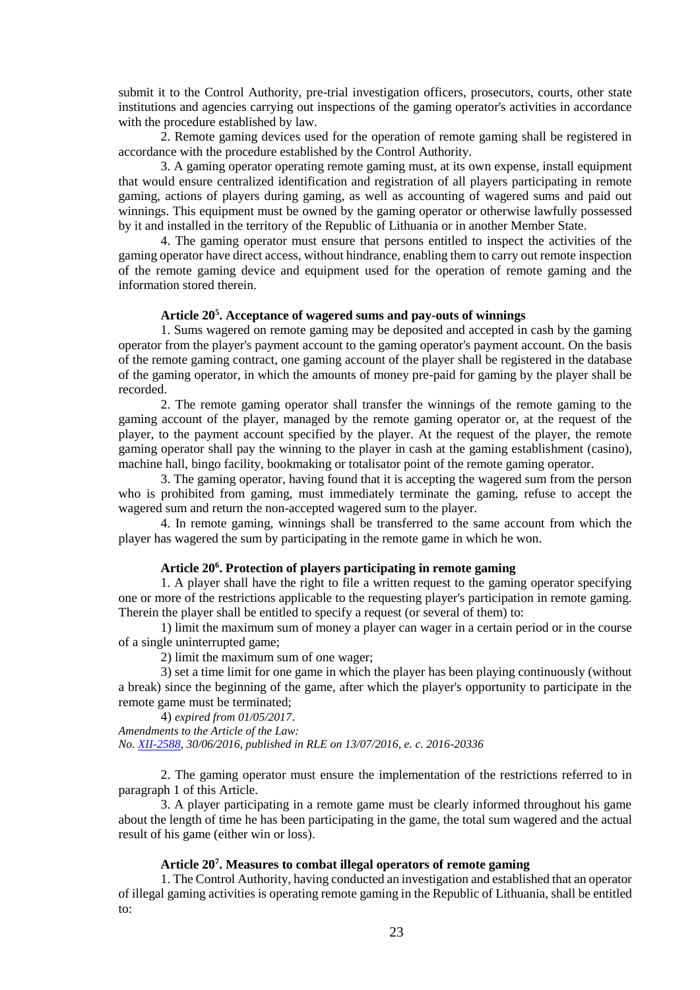submit it to the Control Authority, pre-trial investigation officers, prosecutors, courts, other state institutions and agencies carrying out inspections of the gaming operator's activities in accordance with the procedure established by law.

2. Remote gaming devices used for the operation of remote gaming shall be registered in accordance with the procedure established by the Control Authority.

3. A gaming operator operating remote gaming must, at its own expense, install equipment that would ensure centralized identification and registration of all players participating in remote gaming, actions of players during gaming, as well as accounting of wagered sums and paid out winnings. This equipment must be owned by the gaming operator or otherwise lawfully possessed by it and installed in the territory of the Republic of Lithuania or in another Member State.

4. The gaming operator must ensure that persons entitled to inspect the activities of the gaming operator have direct access, without hindrance, enabling them to carry out remote inspection of the remote gaming device and equipment used for the operation of remote gaming and the information stored therein.

## **Article 20<sup>5</sup> . Acceptance of wagered sums and pay-outs of winnings**

1. Sums wagered on remote gaming may be deposited and accepted in cash by the gaming operator from the player's payment account to the gaming operator's payment account. On the basis of the remote gaming contract, one gaming account of the player shall be registered in the database of the gaming operator, in which the amounts of money pre-paid for gaming by the player shall be recorded.

2. The remote gaming operator shall transfer the winnings of the remote gaming to the gaming account of the player, managed by the remote gaming operator or, at the request of the player, to the payment account specified by the player. At the request of the player, the remote gaming operator shall pay the winning to the player in cash at the gaming establishment (casino), machine hall, bingo facility, bookmaking or totalisator point of the remote gaming operator.

3. The gaming operator, having found that it is accepting the wagered sum from the person who is prohibited from gaming, must immediately terminate the gaming, refuse to accept the wagered sum and return the non-accepted wagered sum to the player.

4. In remote gaming, winnings shall be transferred to the same account from which the player has wagered the sum by participating in the remote game in which he won.

## **Article 20<sup>6</sup> . Protection of players participating in remote gaming**

1. A player shall have the right to file a written request to the gaming operator specifying one or more of the restrictions applicable to the requesting player's participation in remote gaming. Therein the player shall be entitled to specify a request (or several of them) to:

1) limit the maximum sum of money a player can wager in a certain period or in the course of a single uninterrupted game;

2) limit the maximum sum of one wager;

3) set a time limit for one game in which the player has been playing continuously (without a break) since the beginning of the game, after which the player's opportunity to participate in the remote game must be terminated;

4) *expired from 01/05/2017*.

*Amendments to the Article of the Law: No. [XII-2588,](https://www.e-tar.lt/portal/legalAct.html?documentId=46db747048fa11e6b5d09300a16a686c) 30/06/2016, published in RLE on 13/07/2016, e. c. 2016-20336*

2. The gaming operator must ensure the implementation of the restrictions referred to in paragraph 1 of this Article.

3. A player participating in a remote game must be clearly informed throughout his game about the length of time he has been participating in the game, the total sum wagered and the actual result of his game (either win or loss).

# **Article 20<sup>7</sup> . Measures to combat illegal operators of remote gaming**

1. The Control Authority, having conducted an investigation and established that an operator of illegal gaming activities is operating remote gaming in the Republic of Lithuania, shall be entitled to: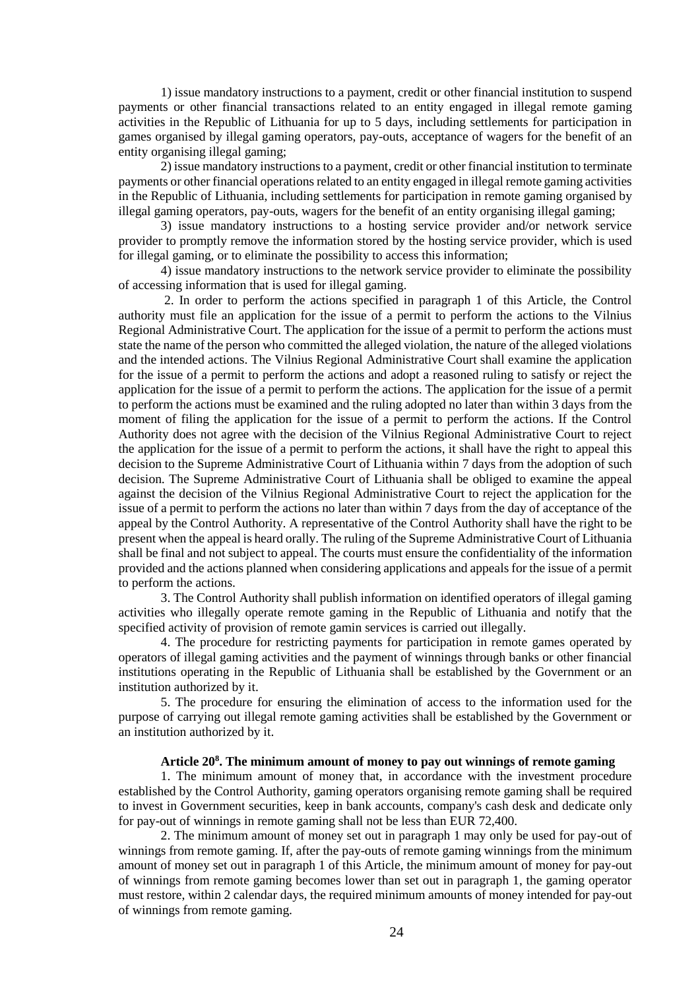1) issue mandatory instructions to a payment, credit or other financial institution to suspend payments or other financial transactions related to an entity engaged in illegal remote gaming activities in the Republic of Lithuania for up to 5 days, including settlements for participation in games organised by illegal gaming operators, pay-outs, acceptance of wagers for the benefit of an entity organising illegal gaming;

2) issue mandatory instructions to a payment, credit or other financial institution to terminate payments or other financial operations related to an entity engaged in illegal remote gaming activities in the Republic of Lithuania, including settlements for participation in remote gaming organised by illegal gaming operators, pay-outs, wagers for the benefit of an entity organising illegal gaming;

3) issue mandatory instructions to a hosting service provider and/or network service provider to promptly remove the information stored by the hosting service provider, which is used for illegal gaming, or to eliminate the possibility to access this information;

4) issue mandatory instructions to the network service provider to eliminate the possibility of accessing information that is used for illegal gaming.

2. In order to perform the actions specified in paragraph 1 of this Article, the Control authority must file an application for the issue of a permit to perform the actions to the Vilnius Regional Administrative Court. The application for the issue of a permit to perform the actions must state the name of the person who committed the alleged violation, the nature of the alleged violations and the intended actions. The Vilnius Regional Administrative Court shall examine the application for the issue of a permit to perform the actions and adopt a reasoned ruling to satisfy or reject the application for the issue of a permit to perform the actions. The application for the issue of a permit to perform the actions must be examined and the ruling adopted no later than within 3 days from the moment of filing the application for the issue of a permit to perform the actions. If the Control Authority does not agree with the decision of the Vilnius Regional Administrative Court to reject the application for the issue of a permit to perform the actions, it shall have the right to appeal this decision to the Supreme Administrative Court of Lithuania within 7 days from the adoption of such decision. The Supreme Administrative Court of Lithuania shall be obliged to examine the appeal against the decision of the Vilnius Regional Administrative Court to reject the application for the issue of a permit to perform the actions no later than within 7 days from the day of acceptance of the appeal by the Control Authority. A representative of the Control Authority shall have the right to be present when the appeal is heard orally. The ruling of the Supreme Administrative Court of Lithuania shall be final and not subject to appeal. The courts must ensure the confidentiality of the information provided and the actions planned when considering applications and appeals for the issue of a permit to perform the actions.

3. The Control Authority shall publish information on identified operators of illegal gaming activities who illegally operate remote gaming in the Republic of Lithuania and notify that the specified activity of provision of remote gamin services is carried out illegally.

4. The procedure for restricting payments for participation in remote games operated by operators of illegal gaming activities and the payment of winnings through banks or other financial institutions operating in the Republic of Lithuania shall be established by the Government or an institution authorized by it.

5. The procedure for ensuring the elimination of access to the information used for the purpose of carrying out illegal remote gaming activities shall be established by the Government or an institution authorized by it.

## **Article 20<sup>8</sup> . The minimum amount of money to pay out winnings of remote gaming**

1. The minimum amount of money that, in accordance with the investment procedure established by the Control Authority, gaming operators organising remote gaming shall be required to invest in Government securities, keep in bank accounts, company's cash desk and dedicate only for pay-out of winnings in remote gaming shall not be less than EUR 72,400.

2. The minimum amount of money set out in paragraph 1 may only be used for pay-out of winnings from remote gaming. If, after the pay-outs of remote gaming winnings from the minimum amount of money set out in paragraph 1 of this Article, the minimum amount of money for pay-out of winnings from remote gaming becomes lower than set out in paragraph 1, the gaming operator must restore, within 2 calendar days, the required minimum amounts of money intended for pay-out of winnings from remote gaming.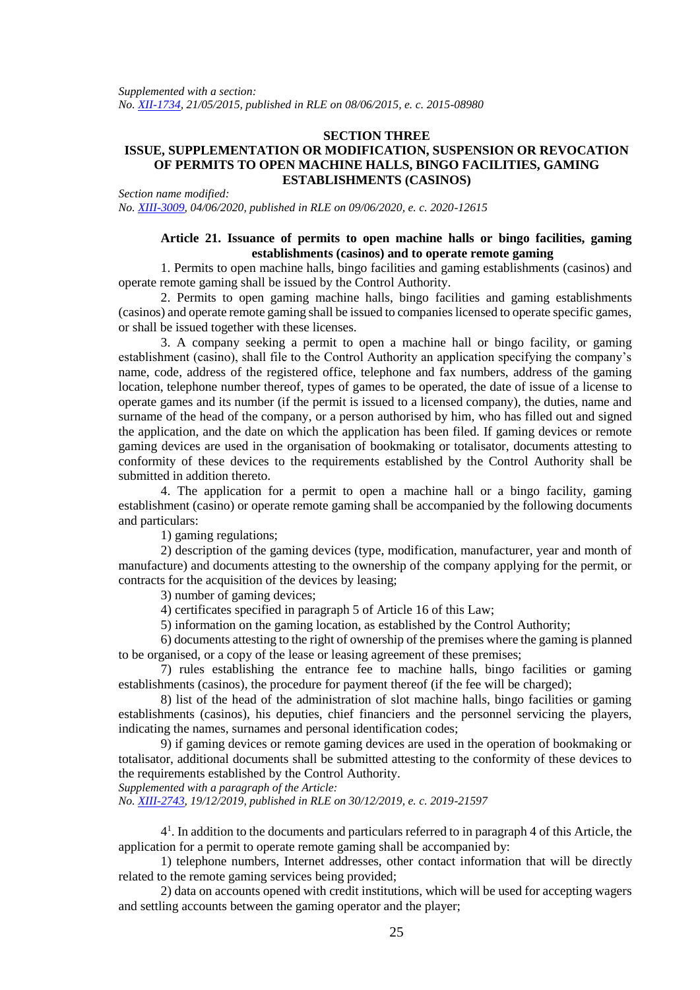*Supplemented with a section: No. [XII-1734,](https://www.e-tar.lt/portal/legalAct.html?documentId=0f7f08200da011e5920c94700bb1958e) 21/05/2015, published in RLE on 08/06/2015, e. c. 2015-08980*

## **SECTION THREE**

## **ISSUE, SUPPLEMENTATION OR MODIFICATION, SUSPENSION OR REVOCATION OF PERMITS TO OPEN MACHINE HALLS, BINGO FACILITIES, GAMING ESTABLISHMENTS (CASINOS)**

*Section name modified:*

*No. [XIII-3009,](https://www.e-tar.lt/portal/legalAct.html?documentId=4b0f3a60aa5611eab9d9cd0c85e0b745) 04/06/2020, published in RLE on 09/06/2020, e. c. 2020-12615*

# **Article 21. Issuance of permits to open machine halls or bingo facilities, gaming establishments (casinos) and to operate remote gaming**

1. Permits to open machine halls, bingo facilities and gaming establishments (casinos) and operate remote gaming shall be issued by the Control Authority.

2. Permits to open gaming machine halls, bingo facilities and gaming establishments (casinos) and operate remote gaming shall be issued to companies licensed to operate specific games, or shall be issued together with these licenses.

3. A company seeking a permit to open a machine hall or bingo facility, or gaming establishment (casino), shall file to the Control Authority an application specifying the company's name, code, address of the registered office, telephone and fax numbers, address of the gaming location, telephone number thereof, types of games to be operated, the date of issue of a license to operate games and its number (if the permit is issued to a licensed company), the duties, name and surname of the head of the company, or a person authorised by him, who has filled out and signed the application, and the date on which the application has been filed. If gaming devices or remote gaming devices are used in the organisation of bookmaking or totalisator, documents attesting to conformity of these devices to the requirements established by the Control Authority shall be submitted in addition thereto.

4. The application for a permit to open a machine hall or a bingo facility, gaming establishment (casino) or operate remote gaming shall be accompanied by the following documents and particulars:

1) gaming regulations;

2) description of the gaming devices (type, modification, manufacturer, year and month of manufacture) and documents attesting to the ownership of the company applying for the permit, or contracts for the acquisition of the devices by leasing;

3) number of gaming devices;

4) certificates specified in paragraph 5 of Article 16 of this Law;

5) information on the gaming location, as established by the Control Authority;

6) documents attesting to the right of ownership of the premises where the gaming is planned to be organised, or a copy of the lease or leasing agreement of these premises;

7) rules establishing the entrance fee to machine halls, bingo facilities or gaming establishments (casinos), the procedure for payment thereof (if the fee will be charged);

8) list of the head of the administration of slot machine halls, bingo facilities or gaming establishments (casinos), his deputies, chief financiers and the personnel servicing the players, indicating the names, surnames and personal identification codes;

9) if gaming devices or remote gaming devices are used in the operation of bookmaking or totalisator, additional documents shall be submitted attesting to the conformity of these devices to the requirements established by the Control Authority.

*Supplemented with a paragraph of the Article:*

*No. [XIII-2743,](https://www.e-tar.lt/portal/legalAct.html?documentId=cb645e302af811eabe008ea93139d588) 19/12/2019, published in RLE on 30/12/2019, e. c. 2019-21597*

4<sup>1</sup>. In addition to the documents and particulars referred to in paragraph 4 of this Article, the application for a permit to operate remote gaming shall be accompanied by:

1) telephone numbers, Internet addresses, other contact information that will be directly related to the remote gaming services being provided;

2) data on accounts opened with credit institutions, which will be used for accepting wagers and settling accounts between the gaming operator and the player;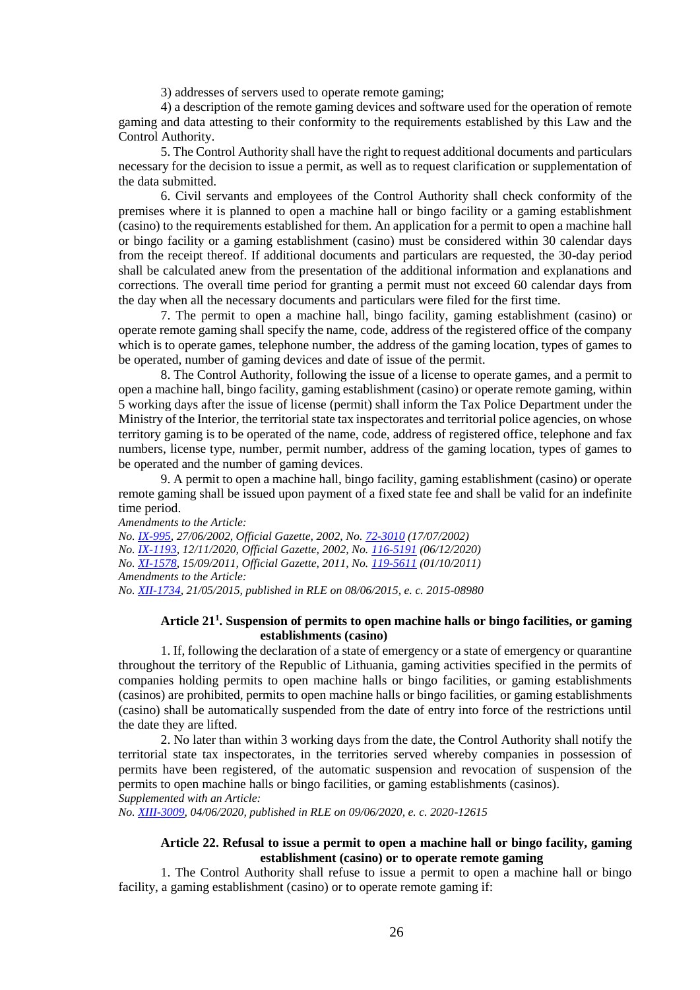3) addresses of servers used to operate remote gaming;

4) a description of the remote gaming devices and software used for the operation of remote gaming and data attesting to their conformity to the requirements established by this Law and the Control Authority.

5. The Control Authority shall have the right to request additional documents and particulars necessary for the decision to issue a permit, as well as to request clarification or supplementation of the data submitted.

6. Civil servants and employees of the Control Authority shall check conformity of the premises where it is planned to open a machine hall or bingo facility or a gaming establishment (casino) to the requirements established for them. An application for a permit to open a machine hall or bingo facility or a gaming establishment (casino) must be considered within 30 calendar days from the receipt thereof. If additional documents and particulars are requested, the 30-day period shall be calculated anew from the presentation of the additional information and explanations and corrections. The overall time period for granting a permit must not exceed 60 calendar days from the day when all the necessary documents and particulars were filed for the first time.

7. The permit to open a machine hall, bingo facility, gaming establishment (casino) or operate remote gaming shall specify the name, code, address of the registered office of the company which is to operate games, telephone number, the address of the gaming location, types of games to be operated, number of gaming devices and date of issue of the permit.

8. The Control Authority, following the issue of a license to operate games, and a permit to open a machine hall, bingo facility, gaming establishment (casino) or operate remote gaming, within 5 working days after the issue of license (permit) shall inform the Tax Police Department under the Ministry of the Interior, the territorial state tax inspectorates and territorial police agencies, on whose territory gaming is to be operated of the name, code, address of registered office, telephone and fax numbers, license type, number, permit number, address of the gaming location, types of games to be operated and the number of gaming devices.

9. A permit to open a machine hall, bingo facility, gaming establishment (casino) or operate remote gaming shall be issued upon payment of a fixed state fee and shall be valid for an indefinite time period.

*Amendments to the Article: No. [IX-995,](http://www3.lrs.lt/cgi-bin/preps2?a=171175&b=) 27/06/2002, Official Gazette, 2002, No. [72-3010](https://www.e-tar.lt/portal/legalAct.html?documentId=TAIS.171175) (17/07/2002) No. [IX-1193,](http://www3.lrs.lt/cgi-bin/preps2?a=196633&b=) 12/11/2020, Official Gazette, 2002, No. [116-5191](https://www.e-tar.lt/portal/legalAct.html?documentId=TAIS.196633) (06/12/2020) No. [XI-1578,](http://www3.lrs.lt/cgi-bin/preps2?a=406675&b=) 15/09/2011, Official Gazette, 2011, No. [119-5611](https://www.e-tar.lt/portal/legalAct.html?documentId=TAIS.406675) (01/10/2011) Amendments to the Article: No. [XII-1734,](https://www.e-tar.lt/portal/legalAct.html?documentId=0f7f08200da011e5920c94700bb1958e) 21/05/2015, published in RLE on 08/06/2015, e. c. 2015-08980*

## **Article 21<sup>1</sup> . Suspension of permits to open machine halls or bingo facilities, or gaming establishments (casino)**

1. If, following the declaration of a state of emergency or a state of emergency or quarantine throughout the territory of the Republic of Lithuania, gaming activities specified in the permits of companies holding permits to open machine halls or bingo facilities, or gaming establishments (casinos) are prohibited, permits to open machine halls or bingo facilities, or gaming establishments (casino) shall be automatically suspended from the date of entry into force of the restrictions until the date they are lifted.

2. No later than within 3 working days from the date, the Control Authority shall notify the territorial state tax inspectorates, in the territories served whereby companies in possession of permits have been registered, of the automatic suspension and revocation of suspension of the permits to open machine halls or bingo facilities, or gaming establishments (casinos). *Supplemented with an Article:*

*No. [XIII-3009,](https://www.e-tar.lt/portal/legalAct.html?documentId=4b0f3a60aa5611eab9d9cd0c85e0b745) 04/06/2020, published in RLE on 09/06/2020, e. c. 2020-12615*

## **Article 22. Refusal to issue a permit to open a machine hall or bingo facility, gaming establishment (casino) or to operate remote gaming**

1. The Control Authority shall refuse to issue a permit to open a machine hall or bingo facility, a gaming establishment (casino) or to operate remote gaming if: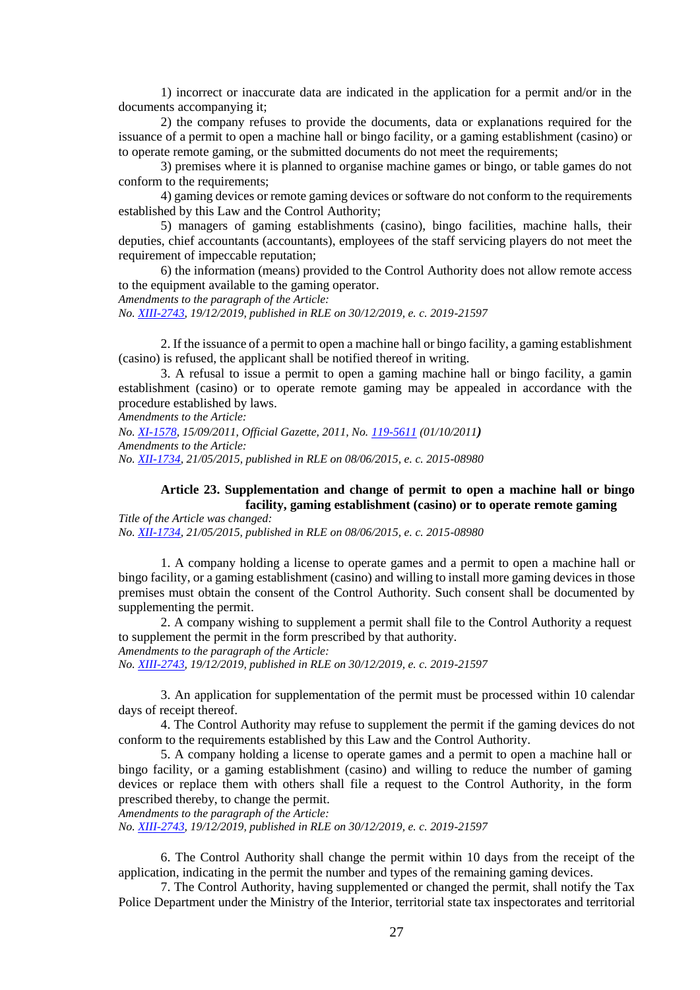1) incorrect or inaccurate data are indicated in the application for a permit and/or in the documents accompanying it;

2) the company refuses to provide the documents, data or explanations required for the issuance of a permit to open a machine hall or bingo facility, or a gaming establishment (casino) or to operate remote gaming, or the submitted documents do not meet the requirements;

3) premises where it is planned to organise machine games or bingo, or table games do not conform to the requirements;

4) gaming devices or remote gaming devices or software do not conform to the requirements established by this Law and the Control Authority;

5) managers of gaming establishments (casino), bingo facilities, machine halls, their deputies, chief accountants (accountants), employees of the staff servicing players do not meet the requirement of impeccable reputation;

6) the information (means) provided to the Control Authority does not allow remote access to the equipment available to the gaming operator.

*Amendments to the paragraph of the Article:*

*No. [XIII-2743,](https://www.e-tar.lt/portal/legalAct.html?documentId=cb645e302af811eabe008ea93139d588) 19/12/2019, published in RLE on 30/12/2019, e. c. 2019-21597*

2. If the issuance of a permit to open a machine hall or bingo facility, a gaming establishment (casino) is refused, the applicant shall be notified thereof in writing.

3. A refusal to issue a permit to open a gaming machine hall or bingo facility, a gamin establishment (casino) or to operate remote gaming may be appealed in accordance with the procedure established by laws.

*Amendments to the Article:*

*No. [XI-1578,](http://www3.lrs.lt/cgi-bin/preps2?a=406675&b=) 15/09/2011, Official Gazette, 2011, No. [119-5611](https://www.e-tar.lt/portal/legalAct.html?documentId=TAIS.406675) (01/10/2011) Amendments to the Article: No. [XII-1734,](https://www.e-tar.lt/portal/legalAct.html?documentId=0f7f08200da011e5920c94700bb1958e) 21/05/2015, published in RLE on 08/06/2015, e. c. 2015-08980*

## **Article 23. Supplementation and change of permit to open a machine hall or bingo facility, gaming establishment (casino) or to operate remote gaming**

*Title of the Article was changed: No. [XII-1734,](https://www.e-tar.lt/portal/legalAct.html?documentId=0f7f08200da011e5920c94700bb1958e) 21/05/2015, published in RLE on 08/06/2015, e. c. 2015-08980*

1. A company holding a license to operate games and a permit to open a machine hall or bingo facility, or a gaming establishment (casino) and willing to install more gaming devices in those premises must obtain the consent of the Control Authority. Such consent shall be documented by supplementing the permit.

2. A company wishing to supplement a permit shall file to the Control Authority a request to supplement the permit in the form prescribed by that authority.

*Amendments to the paragraph of the Article:*

*No. [XIII-2743,](https://www.e-tar.lt/portal/legalAct.html?documentId=cb645e302af811eabe008ea93139d588) 19/12/2019, published in RLE on 30/12/2019, e. c. 2019-21597*

3. An application for supplementation of the permit must be processed within 10 calendar days of receipt thereof.

4. The Control Authority may refuse to supplement the permit if the gaming devices do not conform to the requirements established by this Law and the Control Authority.

5. A company holding a license to operate games and a permit to open a machine hall or bingo facility, or a gaming establishment (casino) and willing to reduce the number of gaming devices or replace them with others shall file a request to the Control Authority, in the form prescribed thereby, to change the permit.

*Amendments to the paragraph of the Article:*

*No. [XIII-2743,](https://www.e-tar.lt/portal/legalAct.html?documentId=cb645e302af811eabe008ea93139d588) 19/12/2019, published in RLE on 30/12/2019, e. c. 2019-21597*

6. The Control Authority shall change the permit within 10 days from the receipt of the application, indicating in the permit the number and types of the remaining gaming devices.

7. The Control Authority, having supplemented or changed the permit, shall notify the Tax Police Department under the Ministry of the Interior, territorial state tax inspectorates and territorial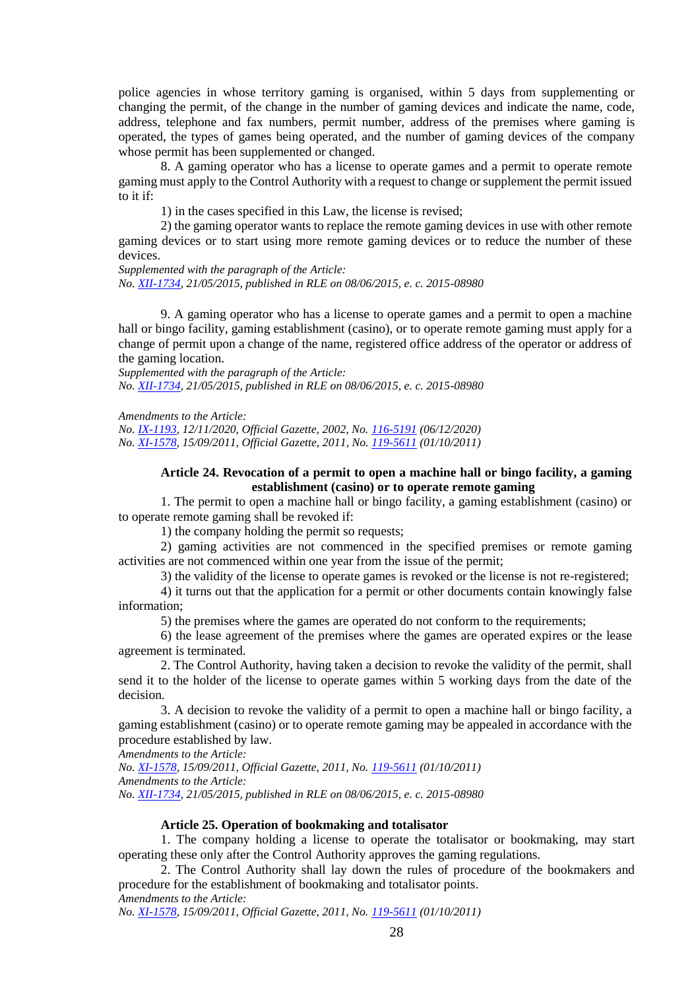police agencies in whose territory gaming is organised, within 5 days from supplementing or changing the permit, of the change in the number of gaming devices and indicate the name, code, address, telephone and fax numbers, permit number, address of the premises where gaming is operated, the types of games being operated, and the number of gaming devices of the company whose permit has been supplemented or changed.

8. A gaming operator who has a license to operate games and a permit to operate remote gaming must apply to the Control Authority with a request to change or supplement the permit issued to it if:

1) in the cases specified in this Law, the license is revised;

2) the gaming operator wants to replace the remote gaming devices in use with other remote gaming devices or to start using more remote gaming devices or to reduce the number of these devices.

*Supplemented with the paragraph of the Article: No. [XII-1734,](https://www.e-tar.lt/portal/legalAct.html?documentId=0f7f08200da011e5920c94700bb1958e) 21/05/2015, published in RLE on 08/06/2015, e. c. 2015-08980*

9. A gaming operator who has a license to operate games and a permit to open a machine hall or bingo facility, gaming establishment (casino), or to operate remote gaming must apply for a change of permit upon a change of the name, registered office address of the operator or address of the gaming location.

*Supplemented with the paragraph of the Article: No. [XII-1734,](https://www.e-tar.lt/portal/legalAct.html?documentId=0f7f08200da011e5920c94700bb1958e) 21/05/2015, published in RLE on 08/06/2015, e. c. 2015-08980*

*Amendments to the Article:*

*No. [IX-1193,](http://www3.lrs.lt/cgi-bin/preps2?a=196633&b=) 12/11/2020, Official Gazette, 2002, No. [116-5191](https://www.e-tar.lt/portal/legalAct.html?documentId=TAIS.196633) (06/12/2020) No. [XI-1578,](http://www3.lrs.lt/cgi-bin/preps2?a=406675&b=) 15/09/2011, Official Gazette, 2011, No. [119-5611](https://www.e-tar.lt/portal/legalAct.html?documentId=TAIS.406675) (01/10/2011)*

## **Article 24. Revocation of a permit to open a machine hall or bingo facility, a gaming establishment (casino) or to operate remote gaming**

1. The permit to open a machine hall or bingo facility, a gaming establishment (casino) or to operate remote gaming shall be revoked if:

1) the company holding the permit so requests;

2) gaming activities are not commenced in the specified premises or remote gaming activities are not commenced within one year from the issue of the permit;

3) the validity of the license to operate games is revoked or the license is not re-registered;

4) it turns out that the application for a permit or other documents contain knowingly false information;

5) the premises where the games are operated do not conform to the requirements;

6) the lease agreement of the premises where the games are operated expires or the lease agreement is terminated.

2. The Control Authority, having taken a decision to revoke the validity of the permit, shall send it to the holder of the license to operate games within 5 working days from the date of the decision.

3. A decision to revoke the validity of a permit to open a machine hall or bingo facility, a gaming establishment (casino) or to operate remote gaming may be appealed in accordance with the procedure established by law.

*Amendments to the Article:*

*No. [XI-1578,](http://www3.lrs.lt/cgi-bin/preps2?a=406675&b=) 15/09/2011, Official Gazette, 2011, No. [119-5611](https://www.e-tar.lt/portal/legalAct.html?documentId=TAIS.406675) (01/10/2011) Amendments to the Article: No. [XII-1734,](https://www.e-tar.lt/portal/legalAct.html?documentId=0f7f08200da011e5920c94700bb1958e) 21/05/2015, published in RLE on 08/06/2015, e. c. 2015-08980*

#### **Article 25. Operation of bookmaking and totalisator**

1. The company holding a license to operate the totalisator or bookmaking, may start operating these only after the Control Authority approves the gaming regulations.

2. The Control Authority shall lay down the rules of procedure of the bookmakers and procedure for the establishment of bookmaking and totalisator points. *Amendments to the Article:*

*No. [XI-1578,](http://www3.lrs.lt/cgi-bin/preps2?a=406675&b=) 15/09/2011, Official Gazette, 2011, No. [119-5611](https://www.e-tar.lt/portal/legalAct.html?documentId=TAIS.406675) (01/10/2011)*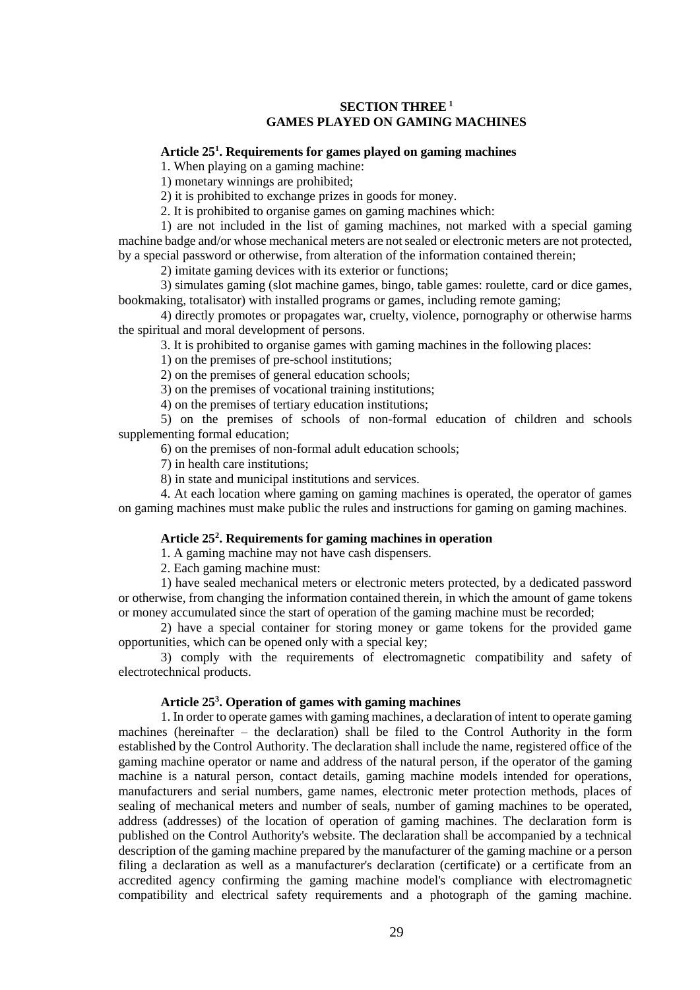## **SECTION THREE<sup>1</sup> GAMES PLAYED ON GAMING MACHINES**

## **Article 25<sup>1</sup> . Requirements for games played on gaming machines**

1. When playing on a gaming machine:

1) monetary winnings are prohibited;

2) it is prohibited to exchange prizes in goods for money.

2. It is prohibited to organise games on gaming machines which:

1) are not included in the list of gaming machines, not marked with a special gaming machine badge and/or whose mechanical meters are not sealed or electronic meters are not protected, by a special password or otherwise, from alteration of the information contained therein;

2) imitate gaming devices with its exterior or functions;

3) simulates gaming (slot machine games, bingo, table games: roulette, card or dice games, bookmaking, totalisator) with installed programs or games, including remote gaming;

4) directly promotes or propagates war, cruelty, violence, pornography or otherwise harms the spiritual and moral development of persons.

3. It is prohibited to organise games with gaming machines in the following places:

1) on the premises of pre-school institutions;

2) on the premises of general education schools;

3) on the premises of vocational training institutions;

4) on the premises of tertiary education institutions;

5) on the premises of schools of non-formal education of children and schools supplementing formal education;

6) on the premises of non-formal adult education schools;

7) in health care institutions;

8) in state and municipal institutions and services.

4. At each location where gaming on gaming machines is operated, the operator of games on gaming machines must make public the rules and instructions for gaming on gaming machines.

## **Article 25<sup>2</sup> . Requirements for gaming machines in operation**

1. A gaming machine may not have cash dispensers.

2. Each gaming machine must:

1) have sealed mechanical meters or electronic meters protected, by a dedicated password or otherwise, from changing the information contained therein, in which the amount of game tokens or money accumulated since the start of operation of the gaming machine must be recorded;

2) have a special container for storing money or game tokens for the provided game opportunities, which can be opened only with a special key;

3) comply with the requirements of electromagnetic compatibility and safety of electrotechnical products.

## **Article 25<sup>3</sup> . Operation of games with gaming machines**

1. In order to operate games with gaming machines, a declaration of intent to operate gaming machines (hereinafter – the declaration) shall be filed to the Control Authority in the form established by the Control Authority. The declaration shall include the name, registered office of the gaming machine operator or name and address of the natural person, if the operator of the gaming machine is a natural person, contact details, gaming machine models intended for operations, manufacturers and serial numbers, game names, electronic meter protection methods, places of sealing of mechanical meters and number of seals, number of gaming machines to be operated, address (addresses) of the location of operation of gaming machines. The declaration form is published on the Control Authority's website. The declaration shall be accompanied by a technical description of the gaming machine prepared by the manufacturer of the gaming machine or a person filing a declaration as well as a manufacturer's declaration (certificate) or a certificate from an accredited agency confirming the gaming machine model's compliance with electromagnetic compatibility and electrical safety requirements and a photograph of the gaming machine.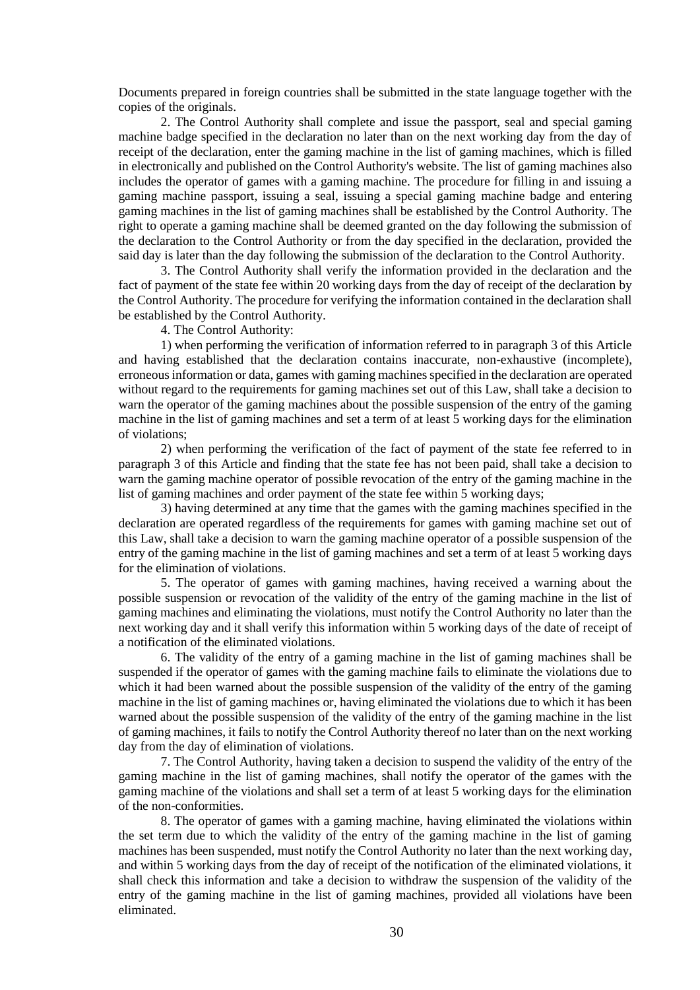Documents prepared in foreign countries shall be submitted in the state language together with the copies of the originals.

2. The Control Authority shall complete and issue the passport, seal and special gaming machine badge specified in the declaration no later than on the next working day from the day of receipt of the declaration, enter the gaming machine in the list of gaming machines, which is filled in electronically and published on the Control Authority's website. The list of gaming machines also includes the operator of games with a gaming machine. The procedure for filling in and issuing a gaming machine passport, issuing a seal, issuing a special gaming machine badge and entering gaming machines in the list of gaming machines shall be established by the Control Authority. The right to operate a gaming machine shall be deemed granted on the day following the submission of the declaration to the Control Authority or from the day specified in the declaration, provided the said day is later than the day following the submission of the declaration to the Control Authority.

3. The Control Authority shall verify the information provided in the declaration and the fact of payment of the state fee within 20 working days from the day of receipt of the declaration by the Control Authority. The procedure for verifying the information contained in the declaration shall be established by the Control Authority.

4. The Control Authority:

1) when performing the verification of information referred to in paragraph 3 of this Article and having established that the declaration contains inaccurate, non-exhaustive (incomplete), erroneous information or data, games with gaming machines specified in the declaration are operated without regard to the requirements for gaming machines set out of this Law, shall take a decision to warn the operator of the gaming machines about the possible suspension of the entry of the gaming machine in the list of gaming machines and set a term of at least 5 working days for the elimination of violations;

2) when performing the verification of the fact of payment of the state fee referred to in paragraph 3 of this Article and finding that the state fee has not been paid, shall take a decision to warn the gaming machine operator of possible revocation of the entry of the gaming machine in the list of gaming machines and order payment of the state fee within 5 working days;

3) having determined at any time that the games with the gaming machines specified in the declaration are operated regardless of the requirements for games with gaming machine set out of this Law, shall take a decision to warn the gaming machine operator of a possible suspension of the entry of the gaming machine in the list of gaming machines and set a term of at least 5 working days for the elimination of violations.

5. The operator of games with gaming machines, having received a warning about the possible suspension or revocation of the validity of the entry of the gaming machine in the list of gaming machines and eliminating the violations, must notify the Control Authority no later than the next working day and it shall verify this information within 5 working days of the date of receipt of a notification of the eliminated violations.

6. The validity of the entry of a gaming machine in the list of gaming machines shall be suspended if the operator of games with the gaming machine fails to eliminate the violations due to which it had been warned about the possible suspension of the validity of the entry of the gaming machine in the list of gaming machines or, having eliminated the violations due to which it has been warned about the possible suspension of the validity of the entry of the gaming machine in the list of gaming machines, it fails to notify the Control Authority thereof no later than on the next working day from the day of elimination of violations.

7. The Control Authority, having taken a decision to suspend the validity of the entry of the gaming machine in the list of gaming machines, shall notify the operator of the games with the gaming machine of the violations and shall set a term of at least 5 working days for the elimination of the non-conformities.

8. The operator of games with a gaming machine, having eliminated the violations within the set term due to which the validity of the entry of the gaming machine in the list of gaming machines has been suspended, must notify the Control Authority no later than the next working day, and within 5 working days from the day of receipt of the notification of the eliminated violations, it shall check this information and take a decision to withdraw the suspension of the validity of the entry of the gaming machine in the list of gaming machines, provided all violations have been eliminated.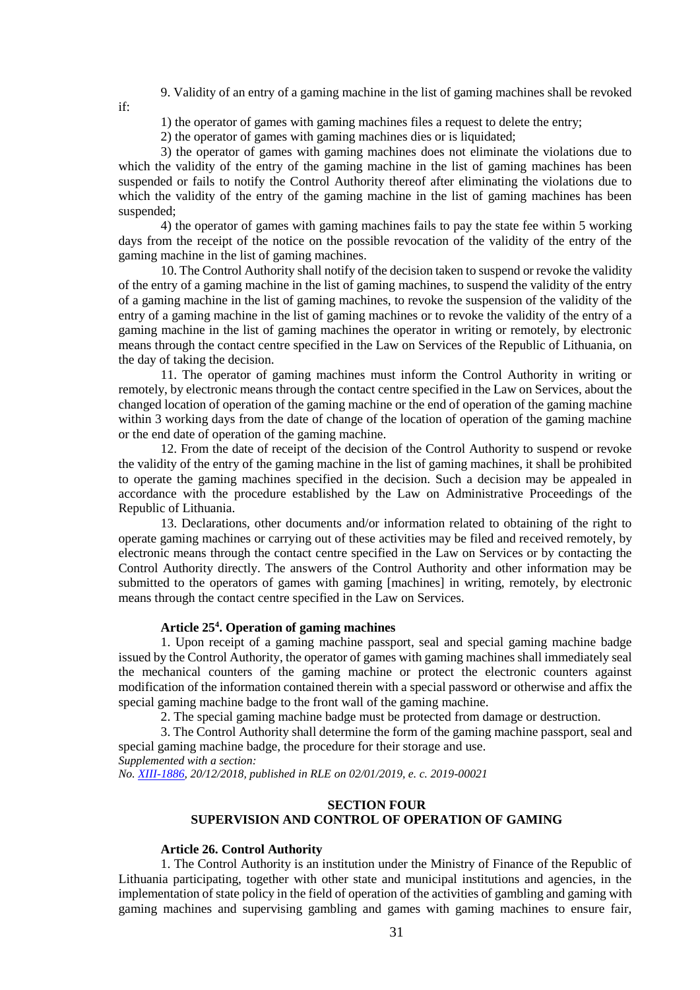9. Validity of an entry of a gaming machine in the list of gaming machines shall be revoked

1) the operator of games with gaming machines files a request to delete the entry;

2) the operator of games with gaming machines dies or is liquidated;

3) the operator of games with gaming machines does not eliminate the violations due to which the validity of the entry of the gaming machine in the list of gaming machines has been suspended or fails to notify the Control Authority thereof after eliminating the violations due to which the validity of the entry of the gaming machine in the list of gaming machines has been suspended;

4) the operator of games with gaming machines fails to pay the state fee within 5 working days from the receipt of the notice on the possible revocation of the validity of the entry of the gaming machine in the list of gaming machines.

10. The Control Authority shall notify of the decision taken to suspend or revoke the validity of the entry of a gaming machine in the list of gaming machines, to suspend the validity of the entry of a gaming machine in the list of gaming machines, to revoke the suspension of the validity of the entry of a gaming machine in the list of gaming machines or to revoke the validity of the entry of a gaming machine in the list of gaming machines the operator in writing or remotely, by electronic means through the contact centre specified in the Law on Services of the Republic of Lithuania, on the day of taking the decision.

11. The operator of gaming machines must inform the Control Authority in writing or remotely, by electronic means through the contact centre specified in the Law on Services, about the changed location of operation of the gaming machine or the end of operation of the gaming machine within 3 working days from the date of change of the location of operation of the gaming machine or the end date of operation of the gaming machine.

12. From the date of receipt of the decision of the Control Authority to suspend or revoke the validity of the entry of the gaming machine in the list of gaming machines, it shall be prohibited to operate the gaming machines specified in the decision. Such a decision may be appealed in accordance with the procedure established by the Law on Administrative Proceedings of the Republic of Lithuania.

13. Declarations, other documents and/or information related to obtaining of the right to operate gaming machines or carrying out of these activities may be filed and received remotely, by electronic means through the contact centre specified in the Law on Services or by contacting the Control Authority directly. The answers of the Control Authority and other information may be submitted to the operators of games with gaming [machines] in writing, remotely, by electronic means through the contact centre specified in the Law on Services.

## **Article 25<sup>4</sup> . Operation of gaming machines**

1. Upon receipt of a gaming machine passport, seal and special gaming machine badge issued by the Control Authority, the operator of games with gaming machines shall immediately seal the mechanical counters of the gaming machine or protect the electronic counters against modification of the information contained therein with a special password or otherwise and affix the special gaming machine badge to the front wall of the gaming machine.

2. The special gaming machine badge must be protected from damage or destruction.

3. The Control Authority shall determine the form of the gaming machine passport, seal and special gaming machine badge, the procedure for their storage and use.

*Supplemented with a section:*

if:

*No. [XIII-1886,](https://www.e-tar.lt/portal/legalAct.html?documentId=d91f35000e7e11e9a5eaf2cd290f1944) 20/12/2018, published in RLE on 02/01/2019, e. c. 2019-00021*

# **SECTION FOUR SUPERVISION AND CONTROL OF OPERATION OF GAMING**

## **Article 26. Control Authority**

1. The Control Authority is an institution under the Ministry of Finance of the Republic of Lithuania participating, together with other state and municipal institutions and agencies, in the implementation of state policy in the field of operation of the activities of gambling and gaming with gaming machines and supervising gambling and games with gaming machines to ensure fair,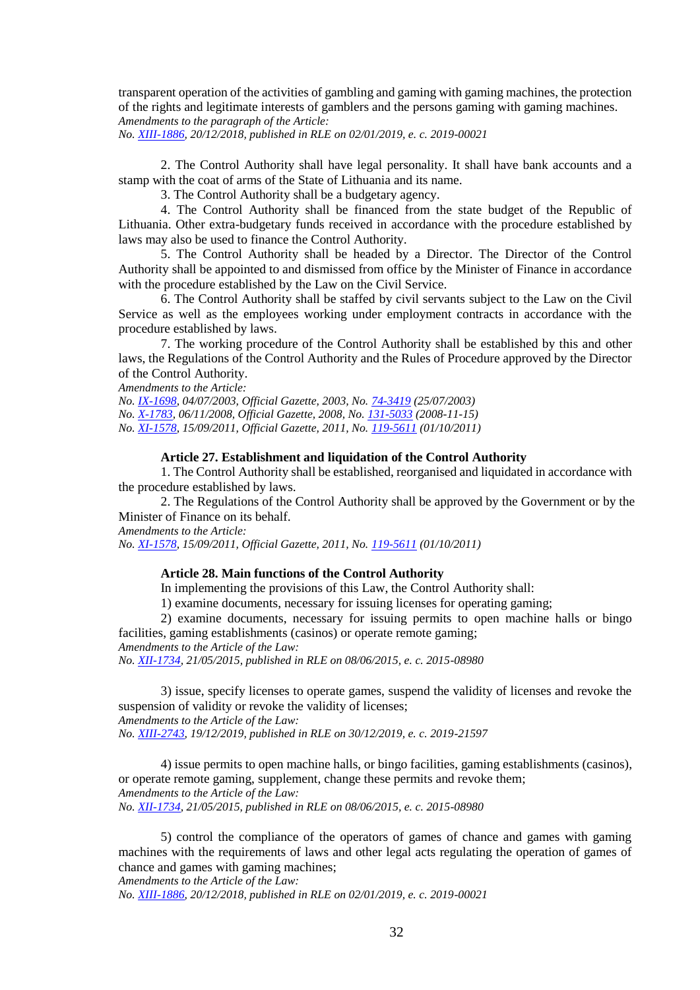transparent operation of the activities of gambling and gaming with gaming machines, the protection of the rights and legitimate interests of gamblers and the persons gaming with gaming machines. *Amendments to the paragraph of the Article:*

*No. [XIII-1886,](https://www.e-tar.lt/portal/legalAct.html?documentId=d91f35000e7e11e9a5eaf2cd290f1944) 20/12/2018, published in RLE on 02/01/2019, e. c. 2019-00021*

2. The Control Authority shall have legal personality. It shall have bank accounts and a stamp with the coat of arms of the State of Lithuania and its name.

3. The Control Authority shall be a budgetary agency.

4. The Control Authority shall be financed from the state budget of the Republic of Lithuania. Other extra-budgetary funds received in accordance with the procedure established by laws may also be used to finance the Control Authority.

5. The Control Authority shall be headed by a Director. The Director of the Control Authority shall be appointed to and dismissed from office by the Minister of Finance in accordance with the procedure established by the Law on the Civil Service.

6. The Control Authority shall be staffed by civil servants subject to the Law on the Civil Service as well as the employees working under employment contracts in accordance with the procedure established by laws.

7. The working procedure of the Control Authority shall be established by this and other laws, the Regulations of the Control Authority and the Rules of Procedure approved by the Director of the Control Authority.

*Amendments to the Article:*

*No. [IX-1698,](http://www3.lrs.lt/cgi-bin/preps2?a=215811&b=) 04/07/2003, Official Gazette, 2003, No. [74-3419](https://www.e-tar.lt/portal/legalAct.html?documentId=TAIS.215811) (25/07/2003) No. [X-1783,](http://www3.lrs.lt/cgi-bin/preps2?a=330587&b=) 06/11/2008, Official Gazette, 2008, No[. 131-5033](https://www.e-tar.lt/portal/legalAct.html?documentId=TAIS.330587) (2008-11-15) No. [XI-1578,](http://www3.lrs.lt/cgi-bin/preps2?a=406675&b=) 15/09/2011, Official Gazette, 2011, No. [119-5611](https://www.e-tar.lt/portal/legalAct.html?documentId=TAIS.406675) (01/10/2011)*

## **Article 27. Establishment and liquidation of the Control Authority**

1. The Control Authority shall be established, reorganised and liquidated in accordance with the procedure established by laws.

2. The Regulations of the Control Authority shall be approved by the Government or by the Minister of Finance on its behalf.

*Amendments to the Article:*

*No. [XI-1578,](http://www3.lrs.lt/cgi-bin/preps2?a=406675&b=) 15/09/2011, Official Gazette, 2011, No. [119-5611](https://www.e-tar.lt/portal/legalAct.html?documentId=TAIS.406675) (01/10/2011)*

## **Article 28. Main functions of the Control Authority**

In implementing the provisions of this Law, the Control Authority shall:

1) examine documents, necessary for issuing licenses for operating gaming;

2) examine documents, necessary for issuing permits to open machine halls or bingo facilities, gaming establishments (casinos) or operate remote gaming;

*Amendments to the Article of the Law:*

*No. [XII-1734,](https://www.e-tar.lt/portal/legalAct.html?documentId=0f7f08200da011e5920c94700bb1958e) 21/05/2015, published in RLE on 08/06/2015, e. c. 2015-08980*

3) issue, specify licenses to operate games, suspend the validity of licenses and revoke the suspension of validity or revoke the validity of licenses; *Amendments to the Article of the Law:*

*No. [XIII-2743,](https://www.e-tar.lt/portal/legalAct.html?documentId=cb645e302af811eabe008ea93139d588) 19/12/2019, published in RLE on 30/12/2019, e. c. 2019-21597*

4) issue permits to open machine halls, or bingo facilities, gaming establishments (casinos), or operate remote gaming, supplement, change these permits and revoke them; *Amendments to the Article of the Law: No. [XII-1734,](https://www.e-tar.lt/portal/legalAct.html?documentId=0f7f08200da011e5920c94700bb1958e) 21/05/2015, published in RLE on 08/06/2015, e. c. 2015-08980*

5) control the compliance of the operators of games of chance and games with gaming machines with the requirements of laws and other legal acts regulating the operation of games of chance and games with gaming machines;

*Amendments to the Article of the Law:*

*No. [XIII-1886,](https://www.e-tar.lt/portal/legalAct.html?documentId=d91f35000e7e11e9a5eaf2cd290f1944) 20/12/2018, published in RLE on 02/01/2019, e. c. 2019-00021*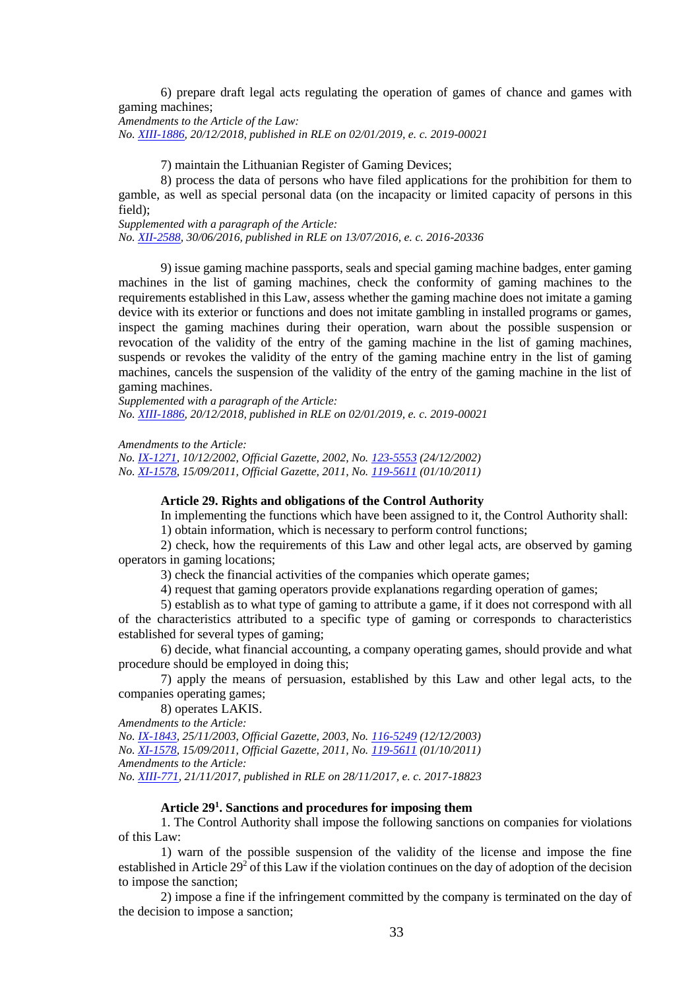6) prepare draft legal acts regulating the operation of games of chance and games with gaming machines;

*Amendments to the Article of the Law: No. [XIII-1886,](https://www.e-tar.lt/portal/legalAct.html?documentId=d91f35000e7e11e9a5eaf2cd290f1944) 20/12/2018, published in RLE on 02/01/2019, e. c. 2019-00021*

7) maintain the Lithuanian Register of Gaming Devices;

8) process the data of persons who have filed applications for the prohibition for them to gamble, as well as special personal data (on the incapacity or limited capacity of persons in this field);

*Supplemented with a paragraph of the Article:*

*No. [XII-2588,](https://www.e-tar.lt/portal/legalAct.html?documentId=46db747048fa11e6b5d09300a16a686c) 30/06/2016, published in RLE on 13/07/2016, e. c. 2016-20336*

9) issue gaming machine passports, seals and special gaming machine badges, enter gaming machines in the list of gaming machines, check the conformity of gaming machines to the requirements established in this Law, assess whether the gaming machine does not imitate a gaming device with its exterior or functions and does not imitate gambling in installed programs or games, inspect the gaming machines during their operation, warn about the possible suspension or revocation of the validity of the entry of the gaming machine in the list of gaming machines, suspends or revokes the validity of the entry of the gaming machine entry in the list of gaming machines, cancels the suspension of the validity of the entry of the gaming machine in the list of gaming machines.

*Supplemented with a paragraph of the Article: No. [XIII-1886,](https://www.e-tar.lt/portal/legalAct.html?documentId=d91f35000e7e11e9a5eaf2cd290f1944) 20/12/2018, published in RLE on 02/01/2019, e. c. 2019-00021*

*Amendments to the Article:*

*No. [IX-1271,](http://www3.lrs.lt/cgi-bin/preps2?a=197572&b=) 10/12/2002, Official Gazette, 2002, No. [123-5553](https://www.e-tar.lt/portal/legalAct.html?documentId=TAIS.197572) (24/12/2002) No. [XI-1578,](http://www3.lrs.lt/cgi-bin/preps2?a=406675&b=) 15/09/2011, Official Gazette, 2011, No. [119-5611](https://www.e-tar.lt/portal/legalAct.html?documentId=TAIS.406675) (01/10/2011)*

## **Article 29. Rights and obligations of the Control Authority**

In implementing the functions which have been assigned to it, the Control Authority shall: 1) obtain information, which is necessary to perform control functions;

2) check, how the requirements of this Law and other legal acts, are observed by gaming operators in gaming locations;

3) check the financial activities of the companies which operate games;

4) request that gaming operators provide explanations regarding operation of games;

5) establish as to what type of gaming to attribute a game, if it does not correspond with all of the characteristics attributed to a specific type of gaming or corresponds to characteristics established for several types of gaming;

6) decide, what financial accounting, a company operating games, should provide and what procedure should be employed in doing this;

7) apply the means of persuasion, established by this Law and other legal acts, to the companies operating games;

8) operates LAKIS.

*Amendments to the Article:*

*No. [IX-1843,](http://www3.lrs.lt/cgi-bin/preps2?a=223214&b=) 25/11/2003, Official Gazette, 2003, No. [116-5249](https://www.e-tar.lt/portal/legalAct.html?documentId=TAIS.223214) (12/12/2003) No. [XI-1578,](http://www3.lrs.lt/cgi-bin/preps2?a=406675&b=) 15/09/2011, Official Gazette, 2011, No. [119-5611](https://www.e-tar.lt/portal/legalAct.html?documentId=TAIS.406675) (01/10/2011) Amendments to the Article: No. [XIII-771,](https://www.e-tar.lt/portal/legalAct.html?documentId=4f2c8620d41111e7910a89ac20768b0f) 21/11/2017, published in RLE on 28/11/2017, e. c. 2017-18823*

## **Article 29 1 . Sanctions and procedures for imposing them**

1. The Control Authority shall impose the following sanctions on companies for violations of this Law:

1) warn of the possible suspension of the validity of the license and impose the fine established in Article 29<sup>2</sup> of this Law if the violation continues on the day of adoption of the decision to impose the sanction;

2) impose a fine if the infringement committed by the company is terminated on the day of the decision to impose a sanction;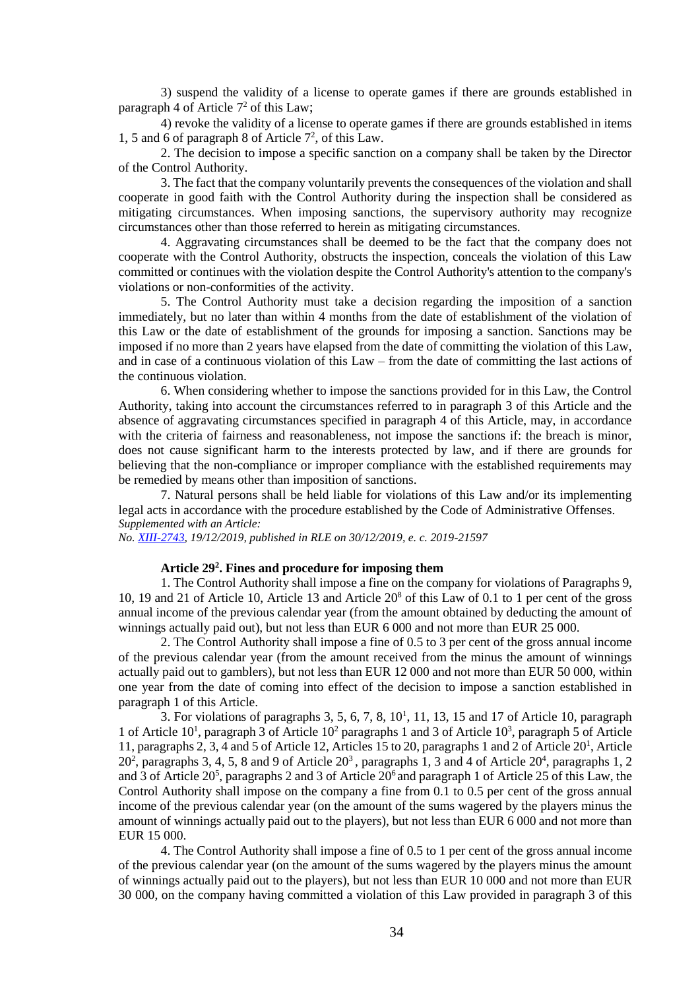3) suspend the validity of a license to operate games if there are grounds established in paragraph 4 of Article 7 <sup>2</sup> of this Law;

4) revoke the validity of a license to operate games if there are grounds established in items 1, 5 and 6 of paragraph 8 of Article  $7^2$ , of this Law.

2. The decision to impose a specific sanction on a company shall be taken by the Director of the Control Authority.

3. The fact that the company voluntarily prevents the consequences of the violation and shall cooperate in good faith with the Control Authority during the inspection shall be considered as mitigating circumstances. When imposing sanctions, the supervisory authority may recognize circumstances other than those referred to herein as mitigating circumstances.

4. Aggravating circumstances shall be deemed to be the fact that the company does not cooperate with the Control Authority, obstructs the inspection, conceals the violation of this Law committed or continues with the violation despite the Control Authority's attention to the company's violations or non-conformities of the activity.

5. The Control Authority must take a decision regarding the imposition of a sanction immediately, but no later than within 4 months from the date of establishment of the violation of this Law or the date of establishment of the grounds for imposing a sanction. Sanctions may be imposed if no more than 2 years have elapsed from the date of committing the violation of this Law, and in case of a continuous violation of this Law – from the date of committing the last actions of the continuous violation.

6. When considering whether to impose the sanctions provided for in this Law, the Control Authority, taking into account the circumstances referred to in paragraph 3 of this Article and the absence of aggravating circumstances specified in paragraph 4 of this Article, may, in accordance with the criteria of fairness and reasonableness, not impose the sanctions if: the breach is minor, does not cause significant harm to the interests protected by law, and if there are grounds for believing that the non-compliance or improper compliance with the established requirements may be remedied by means other than imposition of sanctions.

7. Natural persons shall be held liable for violations of this Law and/or its implementing legal acts in accordance with the procedure established by the Code of Administrative Offenses. *Supplemented with an Article:*

*No. [XIII-2743,](https://www.e-tar.lt/portal/legalAct.html?documentId=cb645e302af811eabe008ea93139d588) 19/12/2019, published in RLE on 30/12/2019, e. c. 2019-21597*

## **Article 29<sup>2</sup> . Fines and procedure for imposing them**

1. The Control Authority shall impose a fine on the company for violations of Paragraphs 9, 10, 19 and 21 of Article 10, Article 13 and Article  $20<sup>8</sup>$  of this Law of 0.1 to 1 per cent of the gross annual income of the previous calendar year (from the amount obtained by deducting the amount of winnings actually paid out), but not less than EUR 6 000 and not more than EUR 25 000.

2. The Control Authority shall impose a fine of 0.5 to 3 per cent of the gross annual income of the previous calendar year (from the amount received from the minus the amount of winnings actually paid out to gamblers), but not less than EUR 12 000 and not more than EUR 50 000, within one year from the date of coming into effect of the decision to impose a sanction established in paragraph 1 of this Article.

3. For violations of paragraphs  $3, 5, 6, 7, 8, 10<sup>1</sup>, 11, 13, 15$  and 17 of Article 10, paragraph 1 of Article 10<sup>1</sup>, paragraph 3 of Article  $10^2$  paragraphs 1 and 3 of Article 10<sup>3</sup>, paragraph 5 of Article 11, paragraphs 2, 3, 4 and 5 of Article 12, Articles 15 to 20, paragraphs 1 and 2 of Article 20<sup>1</sup>, Article  $20<sup>2</sup>$ , paragraphs 3, 4, 5, 8 and 9 of Article  $20<sup>3</sup>$ , paragraphs 1, 3 and 4 of Article  $20<sup>4</sup>$ , paragraphs 1, 2 and 3 of Article  $20^5$ , paragraphs 2 and 3 of Article  $20^6$  and paragraph 1 of Article 25 of this Law, the Control Authority shall impose on the company a fine from 0.1 to 0.5 per cent of the gross annual income of the previous calendar year (on the amount of the sums wagered by the players minus the amount of winnings actually paid out to the players), but not less than EUR 6 000 and not more than EUR 15 000.

4. The Control Authority shall impose a fine of 0.5 to 1 per cent of the gross annual income of the previous calendar year (on the amount of the sums wagered by the players minus the amount of winnings actually paid out to the players), but not less than EUR 10 000 and not more than EUR 30 000, on the company having committed a violation of this Law provided in paragraph 3 of this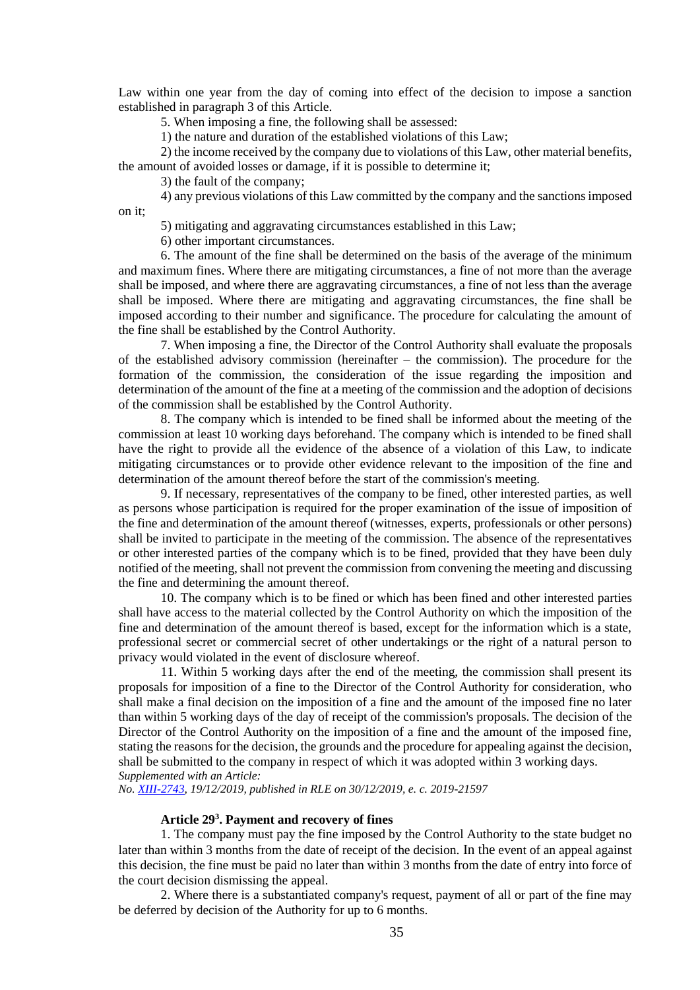Law within one year from the day of coming into effect of the decision to impose a sanction established in paragraph 3 of this Article.

5. When imposing a fine, the following shall be assessed:

1) the nature and duration of the established violations of this Law;

2) the income received by the company due to violations of this Law, other material benefits, the amount of avoided losses or damage, if it is possible to determine it;

3) the fault of the company;

4) any previous violations of this Law committed by the company and the sanctions imposed on it;

5) mitigating and aggravating circumstances established in this Law;

6) other important circumstances.

6. The amount of the fine shall be determined on the basis of the average of the minimum and maximum fines. Where there are mitigating circumstances, a fine of not more than the average shall be imposed, and where there are aggravating circumstances, a fine of not less than the average shall be imposed. Where there are mitigating and aggravating circumstances, the fine shall be imposed according to their number and significance. The procedure for calculating the amount of the fine shall be established by the Control Authority.

7. When imposing a fine, the Director of the Control Authority shall evaluate the proposals of the established advisory commission (hereinafter – the commission). The procedure for the formation of the commission, the consideration of the issue regarding the imposition and determination of the amount of the fine at a meeting of the commission and the adoption of decisions of the commission shall be established by the Control Authority*.*

8. The company which is intended to be fined shall be informed about the meeting of the commission at least 10 working days beforehand. The company which is intended to be fined shall have the right to provide all the evidence of the absence of a violation of this Law, to indicate mitigating circumstances or to provide other evidence relevant to the imposition of the fine and determination of the amount thereof before the start of the commission's meeting.

9. If necessary, representatives of the company to be fined, other interested parties, as well as persons whose participation is required for the proper examination of the issue of imposition of the fine and determination of the amount thereof (witnesses, experts, professionals or other persons) shall be invited to participate in the meeting of the commission. The absence of the representatives or other interested parties of the company which is to be fined, provided that they have been duly notified of the meeting, shall not prevent the commission from convening the meeting and discussing the fine and determining the amount thereof.

10. The company which is to be fined or which has been fined and other interested parties shall have access to the material collected by the Control Authority on which the imposition of the fine and determination of the amount thereof is based, except for the information which is a state, professional secret or commercial secret of other undertakings or the right of a natural person to privacy would violated in the event of disclosure whereof.

11. Within 5 working days after the end of the meeting, the commission shall present its proposals for imposition of a fine to the Director of the Control Authority for consideration, who shall make a final decision on the imposition of a fine and the amount of the imposed fine no later than within 5 working days of the day of receipt of the commission's proposals. The decision of the Director of the Control Authority on the imposition of a fine and the amount of the imposed fine, stating the reasons for the decision, the grounds and the procedure for appealing against the decision, shall be submitted to the company in respect of which it was adopted within 3 working days. *Supplemented with an Article:*

*No. [XIII-2743,](https://www.e-tar.lt/portal/legalAct.html?documentId=cb645e302af811eabe008ea93139d588) 19/12/2019, published in RLE on 30/12/2019, e. c. 2019-21597*

## **Article 29<sup>3</sup> . Payment and recovery of fines**

1. The company must pay the fine imposed by the Control Authority to the state budget no later than within 3 months from the date of receipt of the decision. In the event of an appeal against this decision, the fine must be paid no later than within 3 months from the date of entry into force of the court decision dismissing the appeal.

2. Where there is a substantiated company's request, payment of all or part of the fine may be deferred by decision of the Authority for up to 6 months.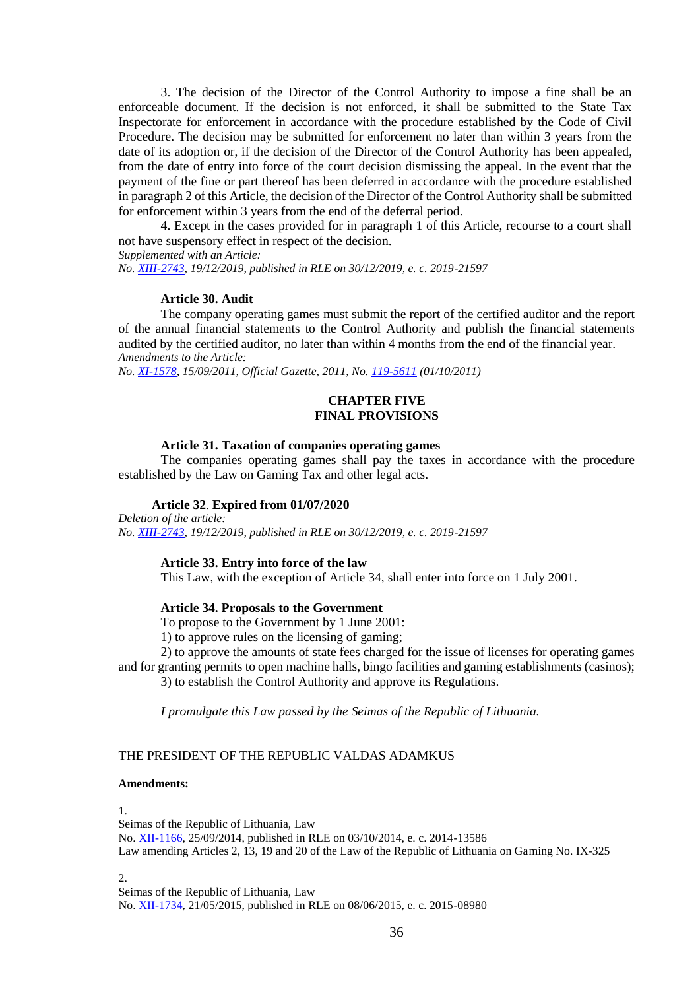3. The decision of the Director of the Control Authority to impose a fine shall be an enforceable document. If the decision is not enforced, it shall be submitted to the State Tax Inspectorate for enforcement in accordance with the procedure established by the Code of Civil Procedure. The decision may be submitted for enforcement no later than within 3 years from the date of its adoption or, if the decision of the Director of the Control Authority has been appealed, from the date of entry into force of the court decision dismissing the appeal. In the event that the payment of the fine or part thereof has been deferred in accordance with the procedure established in paragraph 2 of this Article, the decision of the Director of the Control Authority shall be submitted for enforcement within 3 years from the end of the deferral period.

4. Except in the cases provided for in paragraph 1 of this Article, recourse to a court shall not have suspensory effect in respect of the decision.

*Supplemented with an Article:*

*No. [XIII-2743,](https://www.e-tar.lt/portal/legalAct.html?documentId=cb645e302af811eabe008ea93139d588) 19/12/2019, published in RLE on 30/12/2019, e. c. 2019-21597*

#### **Article 30. Audit**

The company operating games must submit the report of the certified auditor and the report of the annual financial statements to the Control Authority and publish the financial statements audited by the certified auditor, no later than within 4 months from the end of the financial year. *Amendments to the Article:*

*No. [XI-1578,](http://www3.lrs.lt/cgi-bin/preps2?a=406675&b=) 15/09/2011, Official Gazette, 2011, No. [119-5611](https://www.e-tar.lt/portal/legalAct.html?documentId=TAIS.406675) (01/10/2011)*

#### **CHAPTER FIVE FINAL PROVISIONS**

#### **Article 31. Taxation of companies operating games**

The companies operating games shall pay the taxes in accordance with the procedure established by the Law on Gaming Tax and other legal acts.

## **Article 32***.* **Expired from 01/07/2020**

*Deletion of the article: No. [XIII-2743,](https://www.e-tar.lt/portal/legalAct.html?documentId=cb645e302af811eabe008ea93139d588) 19/12/2019, published in RLE on 30/12/2019, e. c. 2019-21597*

## **Article 33. Entry into force of the law**

This Law, with the exception of Article 34, shall enter into force on 1 July 2001.

#### **Article 34. Proposals to the Government**

To propose to the Government by 1 June 2001:

1) to approve rules on the licensing of gaming;

2) to approve the amounts of state fees charged for the issue of licenses for operating games and for granting permits to open machine halls, bingo facilities and gaming establishments (casinos);

3) to establish the Control Authority and approve its Regulations.

*I promulgate this Law passed by the Seimas of the Republic of Lithuania.* 

# THE PRESIDENT OF THE REPUBLIC VALDAS ADAMKUS

#### **Amendments:**

1.

Seimas of the Republic of Lithuania, Law No. [XII-1166,](https://www.e-tar.lt/portal/legalAct.html?documentId=ed32aea04ae711e4a8328599cac64d82) 25/09/2014, published in RLE on 03/10/2014, e. c. 2014-13586 Law amending Articles 2, 13, 19 and 20 of the Law of the Republic of Lithuania on Gaming No. IX-325

2.

Seimas of the Republic of Lithuania, Law No. [XII-1734,](https://www.e-tar.lt/portal/legalAct.html?documentId=0f7f08200da011e5920c94700bb1958e) 21/05/2015, published in RLE on 08/06/2015, e. c. 2015-08980